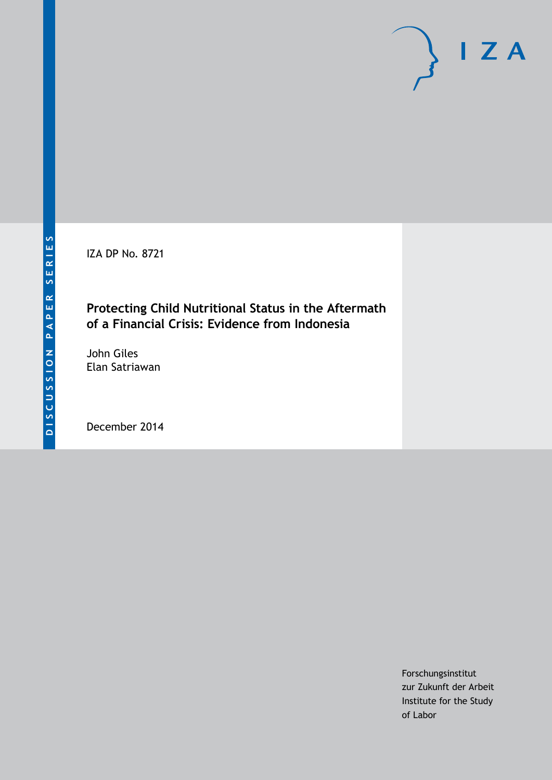IZA DP No. 8721

# **Protecting Child Nutritional Status in the Aftermath of a Financial Crisis: Evidence from Indonesia**

John Giles Elan Satriawan

December 2014

Forschungsinstitut zur Zukunft der Arbeit Institute for the Study of Labor

 $I Z A$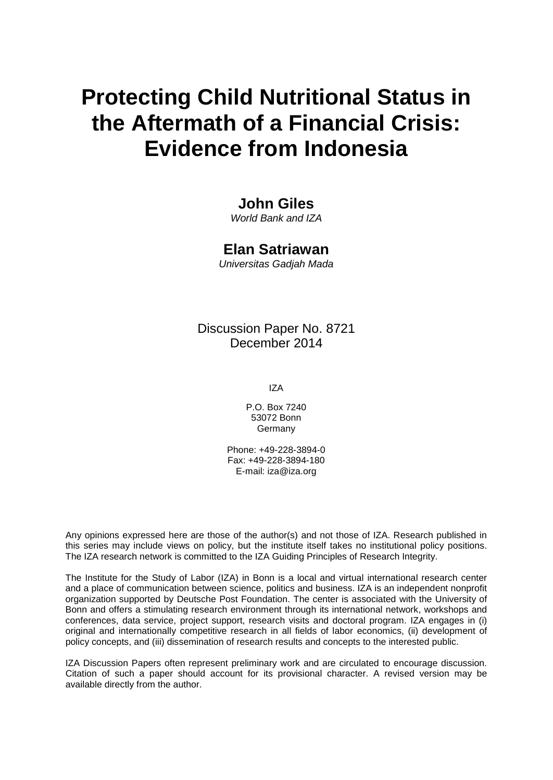# **Protecting Child Nutritional Status in the Aftermath of a Financial Crisis: Evidence from Indonesia**

# **John Giles**

*World Bank and IZA*

### **Elan Satriawan**

*Universitas Gadjah Mada*

## Discussion Paper No. 8721 December 2014

IZA

P.O. Box 7240 53072 Bonn Germany

Phone: +49-228-3894-0 Fax: +49-228-3894-180 E-mail: [iza@iza.org](mailto:iza@iza.org)

Any opinions expressed here are those of the author(s) and not those of IZA. Research published in this series may include views on policy, but the institute itself takes no institutional policy positions. The IZA research network is committed to the IZA Guiding Principles of Research Integrity.

The Institute for the Study of Labor (IZA) in Bonn is a local and virtual international research center and a place of communication between science, politics and business. IZA is an independent nonprofit organization supported by Deutsche Post Foundation. The center is associated with the University of Bonn and offers a stimulating research environment through its international network, workshops and conferences, data service, project support, research visits and doctoral program. IZA engages in (i) original and internationally competitive research in all fields of labor economics, (ii) development of policy concepts, and (iii) dissemination of research results and concepts to the interested public.

<span id="page-1-0"></span>IZA Discussion Papers often represent preliminary work and are circulated to encourage discussion. Citation of such a paper should account for its provisional character. A revised version may be available directly from the author.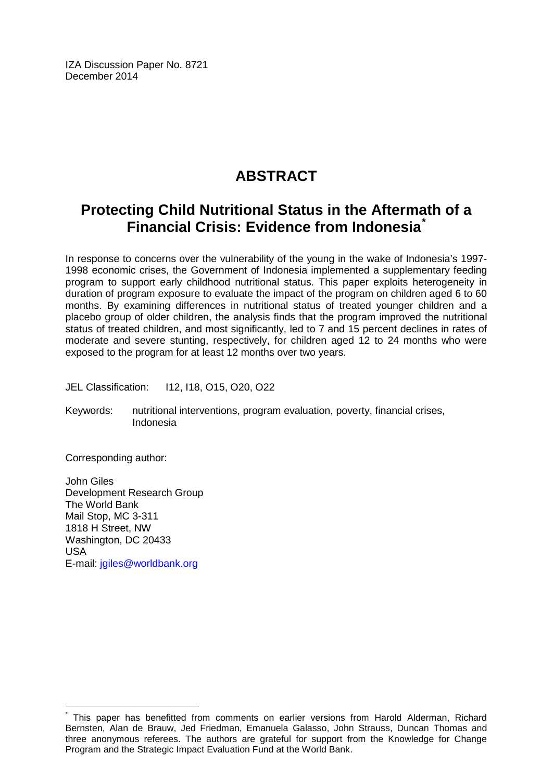IZA Discussion Paper No. 8721 December 2014

# **ABSTRACT**

# **Protecting Child Nutritional Status in the Aftermath of a Financial Crisis: Evidence from Indonesia[\\*](#page-1-0)**

In response to concerns over the vulnerability of the young in the wake of Indonesia's 1997- 1998 economic crises, the Government of Indonesia implemented a supplementary feeding program to support early childhood nutritional status. This paper exploits heterogeneity in duration of program exposure to evaluate the impact of the program on children aged 6 to 60 months. By examining differences in nutritional status of treated younger children and a placebo group of older children, the analysis finds that the program improved the nutritional status of treated children, and most significantly, led to 7 and 15 percent declines in rates of moderate and severe stunting, respectively, for children aged 12 to 24 months who were exposed to the program for at least 12 months over two years.

JEL Classification: I12, I18, O15, O20, O22

Keywords: nutritional interventions, program evaluation, poverty, financial crises, Indonesia

Corresponding author:

John Giles Development Research Group The World Bank Mail Stop, MC 3-311 1818 H Street, NW Washington, DC 20433 USA E-mail: [jgiles@worldbank.org](mailto:jgiles@worldbank.org)

This paper has benefitted from comments on earlier versions from Harold Alderman, Richard Bernsten, Alan de Brauw, Jed Friedman, Emanuela Galasso, John Strauss, Duncan Thomas and three anonymous referees. The authors are grateful for support from the Knowledge for Change Program and the Strategic Impact Evaluation Fund at the World Bank.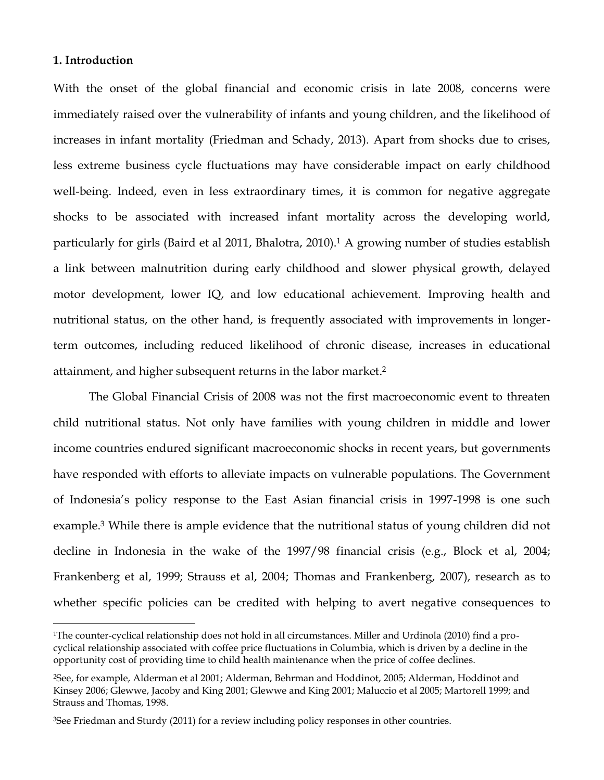#### **1. Introduction**

 $\overline{a}$ 

With the onset of the global financial and economic crisis in late 2008, concerns were immediately raised over the vulnerability of infants and young children, and the likelihood of increases in infant mortality (Friedman and Schady, 2013). Apart from shocks due to crises, less extreme business cycle fluctuations may have considerable impact on early childhood well-being. Indeed, even in less extraordinary times, it is common for negative aggregate shocks to be associated with increased infant mortality across the developing world, particularly for girls (Baird et al 2011, Bhalotra, 2010).<sup>1</sup> A growing number of studies establish a link between malnutrition during early childhood and slower physical growth, delayed motor development, lower IQ, and low educational achievement. Improving health and nutritional status, on the other hand, is frequently associated with improvements in longerterm outcomes, including reduced likelihood of chronic disease, increases in educational attainment, and higher subsequent returns in the labor market. 2

The Global Financial Crisis of 2008 was not the first macroeconomic event to threaten child nutritional status. Not only have families with young children in middle and lower income countries endured significant macroeconomic shocks in recent years, but governments have responded with efforts to alleviate impacts on vulnerable populations. The Government of Indonesia's policy response to the East Asian financial crisis in 1997-1998 is one such example.<sup>3</sup> While there is ample evidence that the nutritional status of young children did not decline in Indonesia in the wake of the 1997/98 financial crisis (e.g., Block et al, 2004; Frankenberg et al, 1999; Strauss et al, 2004; Thomas and Frankenberg, 2007), research as to whether specific policies can be credited with helping to avert negative consequences to

<sup>1</sup>The counter-cyclical relationship does not hold in all circumstances. Miller and Urdinola (2010) find a procyclical relationship associated with coffee price fluctuations in Columbia, which is driven by a decline in the opportunity cost of providing time to child health maintenance when the price of coffee declines.

<sup>2</sup>See, for example, Alderman et al 2001; Alderman, Behrman and Hoddinot, 2005; Alderman, Hoddinot and Kinsey 2006; Glewwe, Jacoby and King 2001; Glewwe and King 2001; Maluccio et al 2005; Martorell 1999; and Strauss and Thomas, 1998.

<sup>3</sup>See Friedman and Sturdy (2011) for a review including policy responses in other countries.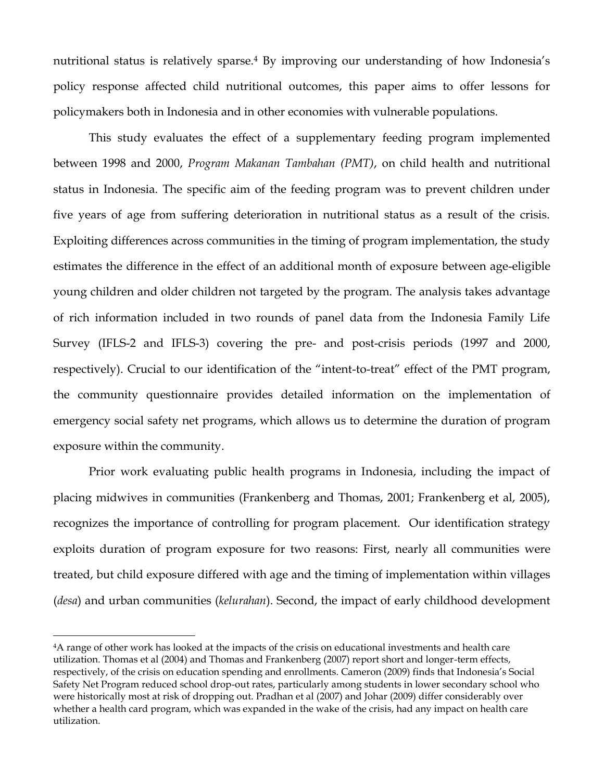nutritional status is relatively sparse.<sup>4</sup> By improving our understanding of how Indonesia's policy response affected child nutritional outcomes, this paper aims to offer lessons for policymakers both in Indonesia and in other economies with vulnerable populations.

This study evaluates the effect of a supplementary feeding program implemented between 1998 and 2000, *Program Makanan Tambahan (PMT)*, on child health and nutritional status in Indonesia. The specific aim of the feeding program was to prevent children under five years of age from suffering deterioration in nutritional status as a result of the crisis. Exploiting differences across communities in the timing of program implementation, the study estimates the difference in the effect of an additional month of exposure between age-eligible young children and older children not targeted by the program. The analysis takes advantage of rich information included in two rounds of panel data from the Indonesia Family Life Survey (IFLS-2 and IFLS-3) covering the pre- and post-crisis periods (1997 and 2000, respectively). Crucial to our identification of the "intent-to-treat" effect of the PMT program, the community questionnaire provides detailed information on the implementation of emergency social safety net programs, which allows us to determine the duration of program exposure within the community.

Prior work evaluating public health programs in Indonesia, including the impact of placing midwives in communities (Frankenberg and Thomas, 2001; Frankenberg et al, 2005), recognizes the importance of controlling for program placement. Our identification strategy exploits duration of program exposure for two reasons: First, nearly all communities were treated, but child exposure differed with age and the timing of implementation within villages (*desa*) and urban communities (*kelurahan*). Second, the impact of early childhood development

<sup>4</sup>A range of other work has looked at the impacts of the crisis on educational investments and health care utilization. Thomas et al (2004) and Thomas and Frankenberg (2007) report short and longer-term effects, respectively, of the crisis on education spending and enrollments. Cameron (2009) finds that Indonesia's Social Safety Net Program reduced school drop-out rates, particularly among students in lower secondary school who were historically most at risk of dropping out. Pradhan et al (2007) and Johar (2009) differ considerably over whether a health card program, which was expanded in the wake of the crisis, had any impact on health care utilization.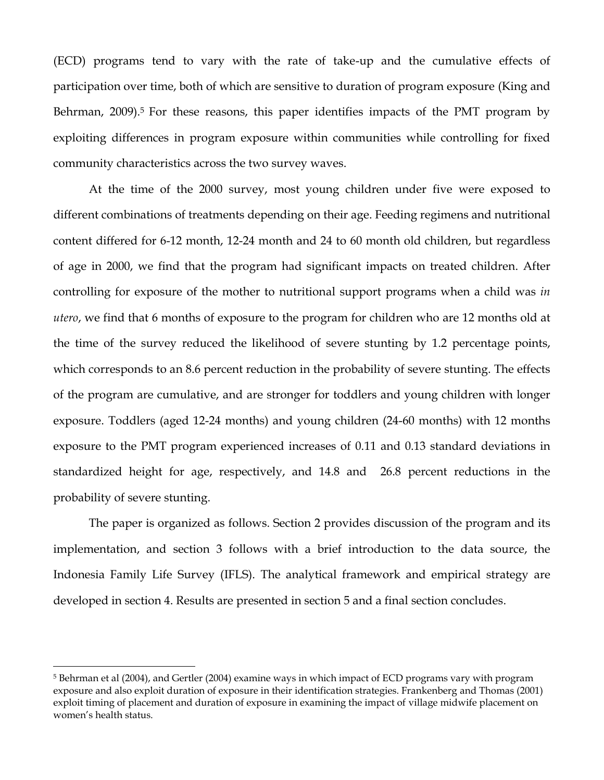(ECD) programs tend to vary with the rate of take-up and the cumulative effects of participation over time, both of which are sensitive to duration of program exposure (King and Behrman, 2009). <sup>5</sup> For these reasons, this paper identifies impacts of the PMT program by exploiting differences in program exposure within communities while controlling for fixed community characteristics across the two survey waves.

At the time of the 2000 survey, most young children under five were exposed to different combinations of treatments depending on their age. Feeding regimens and nutritional content differed for 6-12 month, 12-24 month and 24 to 60 month old children, but regardless of age in 2000, we find that the program had significant impacts on treated children. After controlling for exposure of the mother to nutritional support programs when a child was *in utero*, we find that 6 months of exposure to the program for children who are 12 months old at the time of the survey reduced the likelihood of severe stunting by 1.2 percentage points, which corresponds to an 8.6 percent reduction in the probability of severe stunting. The effects of the program are cumulative, and are stronger for toddlers and young children with longer exposure. Toddlers (aged 12-24 months) and young children (24-60 months) with 12 months exposure to the PMT program experienced increases of 0.11 and 0.13 standard deviations in standardized height for age, respectively, and 14.8 and 26.8 percent reductions in the probability of severe stunting.

The paper is organized as follows. Section 2 provides discussion of the program and its implementation, and section 3 follows with a brief introduction to the data source, the Indonesia Family Life Survey (IFLS). The analytical framework and empirical strategy are developed in section 4. Results are presented in section 5 and a final section concludes.

<sup>5</sup> Behrman et al (2004), and Gertler (2004) examine ways in which impact of ECD programs vary with program exposure and also exploit duration of exposure in their identification strategies. Frankenberg and Thomas (2001) exploit timing of placement and duration of exposure in examining the impact of village midwife placement on women's health status.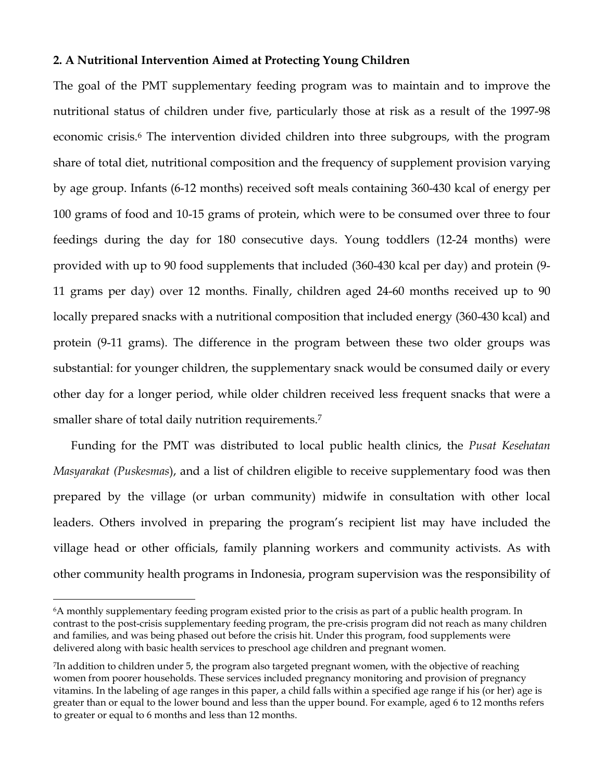### **2. A Nutritional Intervention Aimed at Protecting Young Children**

The goal of the PMT supplementary feeding program was to maintain and to improve the nutritional status of children under five, particularly those at risk as a result of the 1997-98 economic crisis. <sup>6</sup> The intervention divided children into three subgroups, with the program share of total diet, nutritional composition and the frequency of supplement provision varying by age group. Infants (6-12 months) received soft meals containing 360-430 kcal of energy per 100 grams of food and 10-15 grams of protein, which were to be consumed over three to four feedings during the day for 180 consecutive days. Young toddlers (12-24 months) were provided with up to 90 food supplements that included (360-430 kcal per day) and protein (9- 11 grams per day) over 12 months. Finally, children aged 24-60 months received up to 90 locally prepared snacks with a nutritional composition that included energy (360-430 kcal) and protein (9-11 grams). The difference in the program between these two older groups was substantial: for younger children, the supplementary snack would be consumed daily or every other day for a longer period, while older children received less frequent snacks that were a smaller share of total daily nutrition requirements.<sup>7</sup>

Funding for the PMT was distributed to local public health clinics, the *Pusat Kesehatan Masyarakat (Puskesmas*), and a list of children eligible to receive supplementary food was then prepared by the village (or urban community) midwife in consultation with other local leaders. Others involved in preparing the program's recipient list may have included the village head or other officials, family planning workers and community activists. As with other community health programs in Indonesia, program supervision was the responsibility of

<sup>6</sup>A monthly supplementary feeding program existed prior to the crisis as part of a public health program. In contrast to the post-crisis supplementary feeding program, the pre-crisis program did not reach as many children and families, and was being phased out before the crisis hit. Under this program, food supplements were delivered along with basic health services to preschool age children and pregnant women.

<sup>7</sup> In addition to children under 5, the program also targeted pregnant women, with the objective of reaching women from poorer households. These services included pregnancy monitoring and provision of pregnancy vitamins. In the labeling of age ranges in this paper, a child falls within a specified age range if his (or her) age is greater than or equal to the lower bound and less than the upper bound. For example, aged 6 to 12 months refers to greater or equal to 6 months and less than 12 months.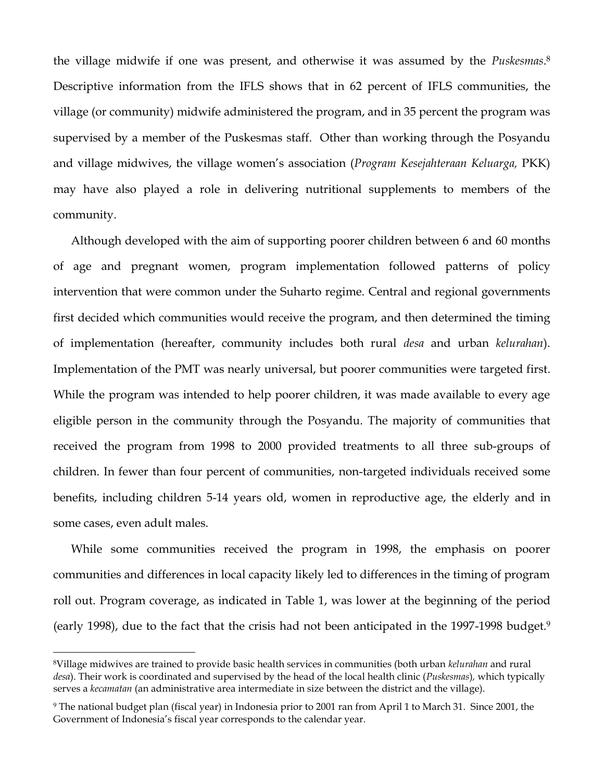the village midwife if one was present, and otherwise it was assumed by the *Puskesmas*. 8 Descriptive information from the IFLS shows that in 62 percent of IFLS communities, the village (or community) midwife administered the program, and in 35 percent the program was supervised by a member of the Puskesmas staff. Other than working through the Posyandu and village midwives, the village women's association (*Program Kesejahteraan Keluarga,* PKK) may have also played a role in delivering nutritional supplements to members of the community.

Although developed with the aim of supporting poorer children between 6 and 60 months of age and pregnant women, program implementation followed patterns of policy intervention that were common under the Suharto regime. Central and regional governments first decided which communities would receive the program, and then determined the timing of implementation (hereafter, community includes both rural *desa* and urban *kelurahan*). Implementation of the PMT was nearly universal, but poorer communities were targeted first. While the program was intended to help poorer children, it was made available to every age eligible person in the community through the Posyandu. The majority of communities that received the program from 1998 to 2000 provided treatments to all three sub-groups of children. In fewer than four percent of communities, non-targeted individuals received some benefits, including children 5-14 years old, women in reproductive age, the elderly and in some cases, even adult males.

While some communities received the program in 1998, the emphasis on poorer communities and differences in local capacity likely led to differences in the timing of program roll out. Program coverage, as indicated in Table 1, was lower at the beginning of the period (early 1998), due to the fact that the crisis had not been anticipated in the 1997-1998 budget.<sup>9</sup>

<sup>8</sup>Village midwives are trained to provide basic health services in communities (both urban *kelurahan* and rural *desa*). Their work is coordinated and supervised by the head of the local health clinic (*Puskesmas*)*,* which typically serves a *kecamatan* (an administrative area intermediate in size between the district and the village).

<sup>9</sup> The national budget plan (fiscal year) in Indonesia prior to 2001 ran from April 1 to March 31. Since 2001, the Government of Indonesia's fiscal year corresponds to the calendar year.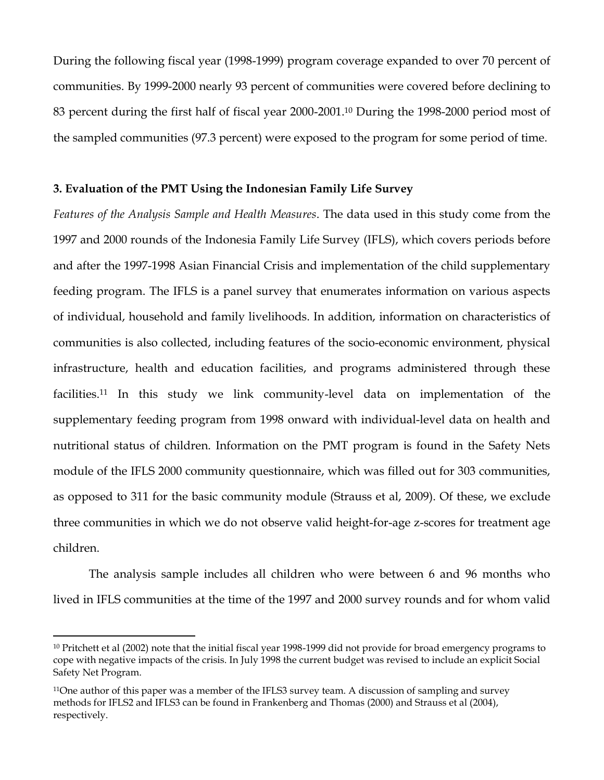During the following fiscal year (1998-1999) program coverage expanded to over 70 percent of communities. By 1999-2000 nearly 93 percent of communities were covered before declining to 83 percent during the first half of fiscal year 2000-2001.<sup>10</sup> During the 1998-2000 period most of the sampled communities (97.3 percent) were exposed to the program for some period of time.

### **3. Evaluation of the PMT Using the Indonesian Family Life Survey**

*Features of the Analysis Sample and Health Measures*. The data used in this study come from the 1997 and 2000 rounds of the Indonesia Family Life Survey (IFLS), which covers periods before and after the 1997-1998 Asian Financial Crisis and implementation of the child supplementary feeding program. The IFLS is a panel survey that enumerates information on various aspects of individual, household and family livelihoods. In addition, information on characteristics of communities is also collected, including features of the socio-economic environment, physical infrastructure, health and education facilities, and programs administered through these facilities. <sup>11</sup> In this study we link community-level data on implementation of the supplementary feeding program from 1998 onward with individual-level data on health and nutritional status of children. Information on the PMT program is found in the Safety Nets module of the IFLS 2000 community questionnaire, which was filled out for 303 communities, as opposed to 311 for the basic community module (Strauss et al, 2009). Of these, we exclude three communities in which we do not observe valid height-for-age z-scores for treatment age children.

The analysis sample includes all children who were between 6 and 96 months who lived in IFLS communities at the time of the 1997 and 2000 survey rounds and for whom valid

<sup>&</sup>lt;sup>10</sup> Pritchett et al (2002) note that the initial fiscal year 1998-1999 did not provide for broad emergency programs to cope with negative impacts of the crisis. In July 1998 the current budget was revised to include an explicit Social Safety Net Program.

<sup>11</sup>One author of this paper was a member of the IFLS3 survey team. A discussion of sampling and survey methods for IFLS2 and IFLS3 can be found in Frankenberg and Thomas (2000) and Strauss et al (2004), respectively.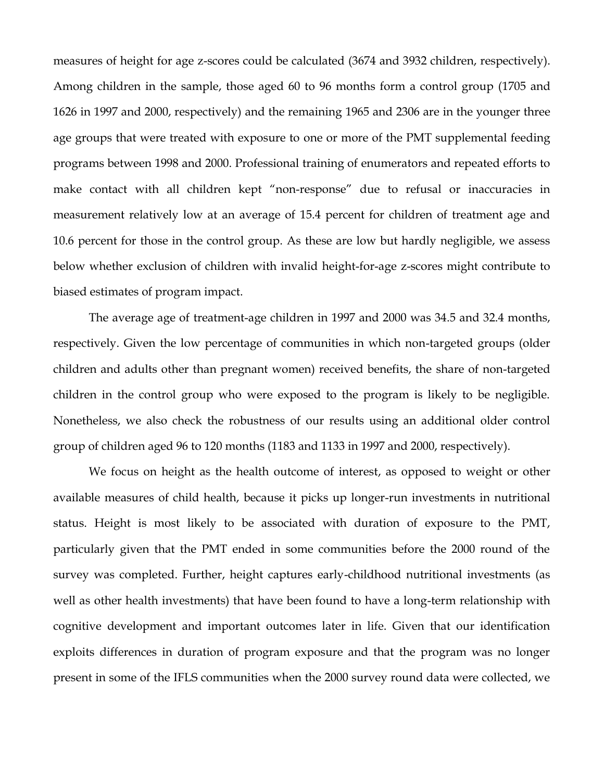measures of height for age z-scores could be calculated (3674 and 3932 children, respectively). Among children in the sample, those aged 60 to 96 months form a control group (1705 and 1626 in 1997 and 2000, respectively) and the remaining 1965 and 2306 are in the younger three age groups that were treated with exposure to one or more of the PMT supplemental feeding programs between 1998 and 2000. Professional training of enumerators and repeated efforts to make contact with all children kept "non-response" due to refusal or inaccuracies in measurement relatively low at an average of 15.4 percent for children of treatment age and 10.6 percent for those in the control group. As these are low but hardly negligible, we assess below whether exclusion of children with invalid height-for-age z-scores might contribute to biased estimates of program impact.

The average age of treatment-age children in 1997 and 2000 was 34.5 and 32.4 months, respectively. Given the low percentage of communities in which non-targeted groups (older children and adults other than pregnant women) received benefits, the share of non-targeted children in the control group who were exposed to the program is likely to be negligible. Nonetheless, we also check the robustness of our results using an additional older control group of children aged 96 to 120 months (1183 and 1133 in 1997 and 2000, respectively).

We focus on height as the health outcome of interest, as opposed to weight or other available measures of child health, because it picks up longer-run investments in nutritional status. Height is most likely to be associated with duration of exposure to the PMT, particularly given that the PMT ended in some communities before the 2000 round of the survey was completed. Further, height captures early-childhood nutritional investments (as well as other health investments) that have been found to have a long-term relationship with cognitive development and important outcomes later in life. Given that our identification exploits differences in duration of program exposure and that the program was no longer present in some of the IFLS communities when the 2000 survey round data were collected, we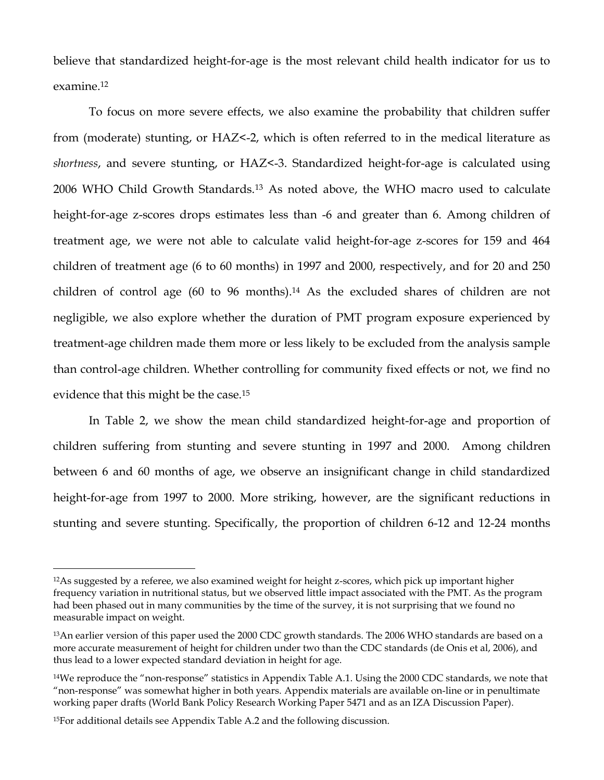believe that standardized height-for-age is the most relevant child health indicator for us to examine.<sup>12</sup>

To focus on more severe effects, we also examine the probability that children suffer from (moderate) stunting, or HAZ<-2, which is often referred to in the medical literature as *shortness*, and severe stunting, or HAZ<-3. Standardized height-for-age is calculated using 2006 WHO Child Growth Standards.<sup>13</sup> As noted above, the WHO macro used to calculate height-for-age z-scores drops estimates less than -6 and greater than 6. Among children of treatment age, we were not able to calculate valid height-for-age z-scores for 159 and 464 children of treatment age (6 to 60 months) in 1997 and 2000, respectively, and for 20 and 250 children of control age (60 to 96 months). <sup>14</sup> As the excluded shares of children are not negligible, we also explore whether the duration of PMT program exposure experienced by treatment-age children made them more or less likely to be excluded from the analysis sample than control-age children. Whether controlling for community fixed effects or not, we find no evidence that this might be the case.<sup>15</sup>

In Table 2, we show the mean child standardized height-for-age and proportion of children suffering from stunting and severe stunting in 1997 and 2000. Among children between 6 and 60 months of age, we observe an insignificant change in child standardized height-for-age from 1997 to 2000. More striking, however, are the significant reductions in stunting and severe stunting. Specifically, the proportion of children 6-12 and 12-24 months

<sup>12</sup>As suggested by a referee, we also examined weight for height z-scores, which pick up important higher frequency variation in nutritional status, but we observed little impact associated with the PMT. As the program had been phased out in many communities by the time of the survey, it is not surprising that we found no measurable impact on weight.

<sup>13</sup>An earlier version of this paper used the 2000 CDC growth standards. The 2006 WHO standards are based on a more accurate measurement of height for children under two than the CDC standards (de Onis et al, 2006), and thus lead to a lower expected standard deviation in height for age.

<sup>14</sup>We reproduce the "non-response" statistics in Appendix Table A.1. Using the 2000 CDC standards, we note that "non-response" was somewhat higher in both years. Appendix materials are available on-line or in penultimate working paper drafts (World Bank Policy Research Working Paper 5471 and as an IZA Discussion Paper).

<sup>15</sup>For additional details see Appendix Table A.2 and the following discussion.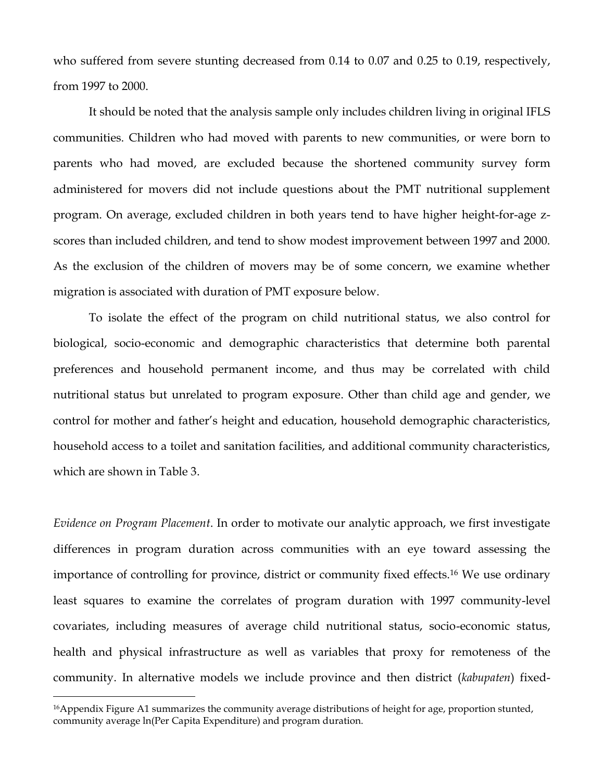who suffered from severe stunting decreased from 0.14 to 0.07 and 0.25 to 0.19, respectively, from 1997 to 2000.

It should be noted that the analysis sample only includes children living in original IFLS communities. Children who had moved with parents to new communities, or were born to parents who had moved, are excluded because the shortened community survey form administered for movers did not include questions about the PMT nutritional supplement program. On average, excluded children in both years tend to have higher height-for-age zscores than included children, and tend to show modest improvement between 1997 and 2000. As the exclusion of the children of movers may be of some concern, we examine whether migration is associated with duration of PMT exposure below.

To isolate the effect of the program on child nutritional status, we also control for biological, socio-economic and demographic characteristics that determine both parental preferences and household permanent income, and thus may be correlated with child nutritional status but unrelated to program exposure. Other than child age and gender, we control for mother and father's height and education, household demographic characteristics, household access to a toilet and sanitation facilities, and additional community characteristics, which are shown in Table 3.

*Evidence on Program Placement*. In order to motivate our analytic approach, we first investigate differences in program duration across communities with an eye toward assessing the importance of controlling for province, district or community fixed effects.<sup>16</sup> We use ordinary least squares to examine the correlates of program duration with 1997 community-level covariates, including measures of average child nutritional status, socio-economic status, health and physical infrastructure as well as variables that proxy for remoteness of the community. In alternative models we include province and then district (*kabupaten*) fixed-

<sup>16</sup>Appendix Figure A1 summarizes the community average distributions of height for age, proportion stunted, community average ln(Per Capita Expenditure) and program duration.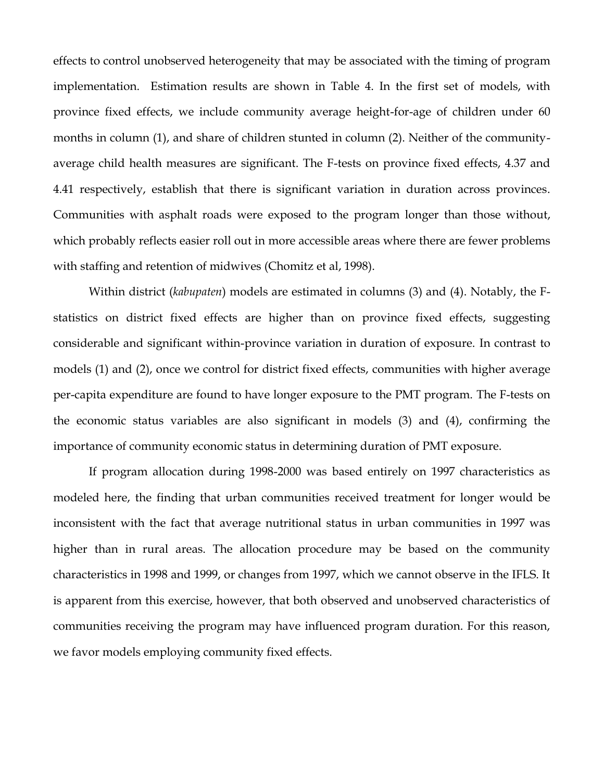effects to control unobserved heterogeneity that may be associated with the timing of program implementation. Estimation results are shown in Table 4. In the first set of models, with province fixed effects, we include community average height-for-age of children under 60 months in column (1), and share of children stunted in column (2). Neither of the communityaverage child health measures are significant. The F-tests on province fixed effects, 4.37 and 4.41 respectively, establish that there is significant variation in duration across provinces. Communities with asphalt roads were exposed to the program longer than those without, which probably reflects easier roll out in more accessible areas where there are fewer problems with staffing and retention of midwives (Chomitz et al, 1998).

Within district (*kabupaten*) models are estimated in columns (3) and (4). Notably, the Fstatistics on district fixed effects are higher than on province fixed effects, suggesting considerable and significant within-province variation in duration of exposure. In contrast to models (1) and (2), once we control for district fixed effects, communities with higher average per-capita expenditure are found to have longer exposure to the PMT program. The F-tests on the economic status variables are also significant in models (3) and (4), confirming the importance of community economic status in determining duration of PMT exposure.

If program allocation during 1998-2000 was based entirely on 1997 characteristics as modeled here, the finding that urban communities received treatment for longer would be inconsistent with the fact that average nutritional status in urban communities in 1997 was higher than in rural areas. The allocation procedure may be based on the community characteristics in 1998 and 1999, or changes from 1997, which we cannot observe in the IFLS. It is apparent from this exercise, however, that both observed and unobserved characteristics of communities receiving the program may have influenced program duration. For this reason, we favor models employing community fixed effects.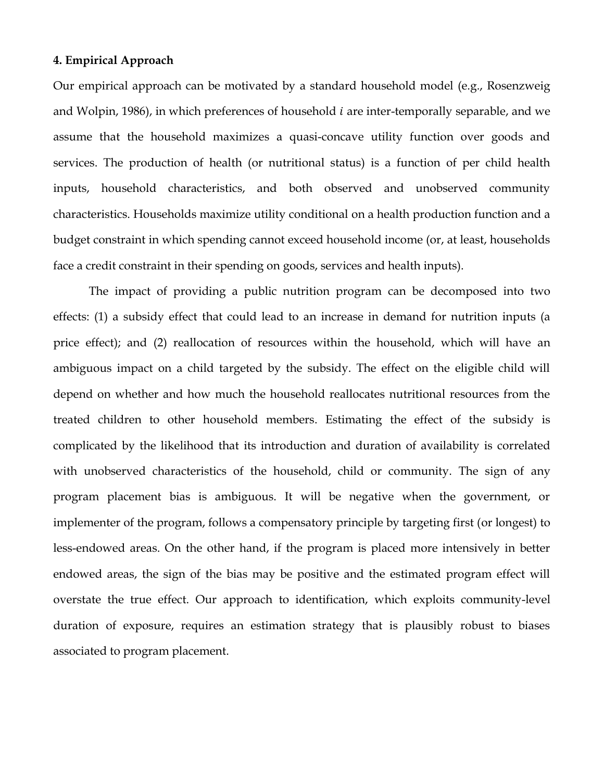#### **4. Empirical Approach**

Our empirical approach can be motivated by a standard household model (e.g., Rosenzweig and Wolpin, 1986), in which preferences of household  $i$  are inter-temporally separable, and we assume that the household maximizes a quasi-concave utility function over goods and services. The production of health (or nutritional status) is a function of per child health inputs, household characteristics, and both observed and unobserved community characteristics. Households maximize utility conditional on a health production function and a budget constraint in which spending cannot exceed household income (or, at least, households face a credit constraint in their spending on goods, services and health inputs).

The impact of providing a public nutrition program can be decomposed into two effects: (1) a subsidy effect that could lead to an increase in demand for nutrition inputs (a price effect); and (2) reallocation of resources within the household, which will have an ambiguous impact on a child targeted by the subsidy. The effect on the eligible child will depend on whether and how much the household reallocates nutritional resources from the treated children to other household members. Estimating the effect of the subsidy is complicated by the likelihood that its introduction and duration of availability is correlated with unobserved characteristics of the household, child or community. The sign of any program placement bias is ambiguous. It will be negative when the government, or implementer of the program, follows a compensatory principle by targeting first (or longest) to less-endowed areas. On the other hand, if the program is placed more intensively in better endowed areas, the sign of the bias may be positive and the estimated program effect will overstate the true effect. Our approach to identification, which exploits community-level duration of exposure, requires an estimation strategy that is plausibly robust to biases associated to program placement.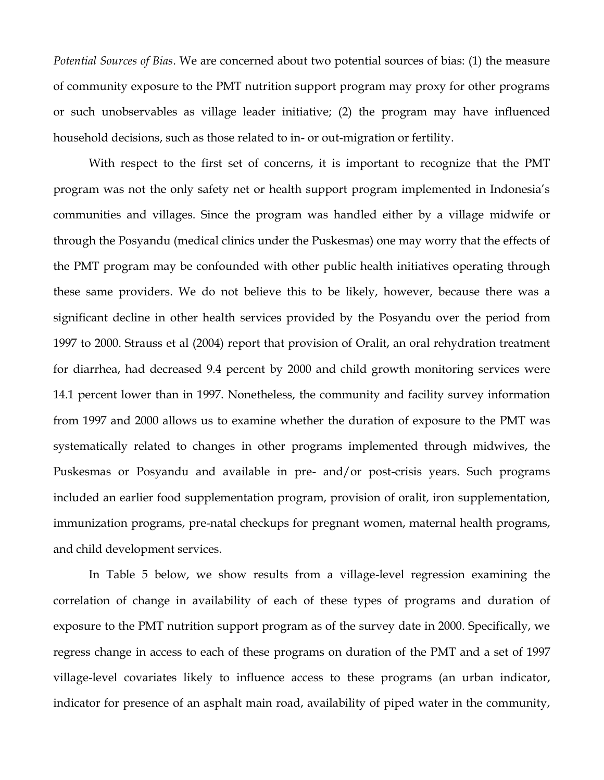*Potential Sources of Bias*. We are concerned about two potential sources of bias: (1) the measure of community exposure to the PMT nutrition support program may proxy for other programs or such unobservables as village leader initiative; (2) the program may have influenced household decisions, such as those related to in- or out-migration or fertility.

With respect to the first set of concerns, it is important to recognize that the PMT program was not the only safety net or health support program implemented in Indonesia's communities and villages. Since the program was handled either by a village midwife or through the Posyandu (medical clinics under the Puskesmas) one may worry that the effects of the PMT program may be confounded with other public health initiatives operating through these same providers. We do not believe this to be likely, however, because there was a significant decline in other health services provided by the Posyandu over the period from 1997 to 2000. Strauss et al (2004) report that provision of Oralit, an oral rehydration treatment for diarrhea, had decreased 9.4 percent by 2000 and child growth monitoring services were 14.1 percent lower than in 1997. Nonetheless, the community and facility survey information from 1997 and 2000 allows us to examine whether the duration of exposure to the PMT was systematically related to changes in other programs implemented through midwives, the Puskesmas or Posyandu and available in pre- and/or post-crisis years. Such programs included an earlier food supplementation program, provision of oralit, iron supplementation, immunization programs, pre-natal checkups for pregnant women, maternal health programs, and child development services.

In Table 5 below, we show results from a village-level regression examining the correlation of change in availability of each of these types of programs and duration of exposure to the PMT nutrition support program as of the survey date in 2000. Specifically, we regress change in access to each of these programs on duration of the PMT and a set of 1997 village-level covariates likely to influence access to these programs (an urban indicator, indicator for presence of an asphalt main road, availability of piped water in the community,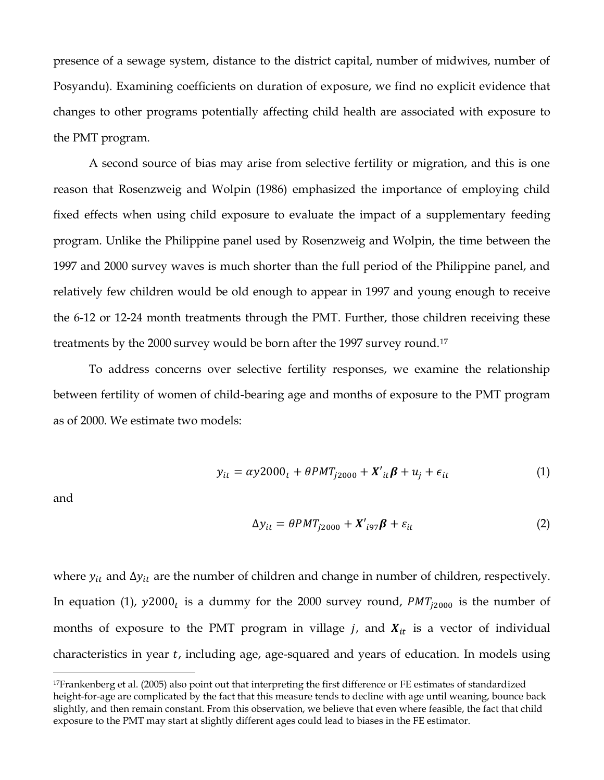presence of a sewage system, distance to the district capital, number of midwives, number of Posyandu). Examining coefficients on duration of exposure, we find no explicit evidence that changes to other programs potentially affecting child health are associated with exposure to the PMT program.

A second source of bias may arise from selective fertility or migration, and this is one reason that Rosenzweig and Wolpin (1986) emphasized the importance of employing child fixed effects when using child exposure to evaluate the impact of a supplementary feeding program. Unlike the Philippine panel used by Rosenzweig and Wolpin, the time between the 1997 and 2000 survey waves is much shorter than the full period of the Philippine panel, and relatively few children would be old enough to appear in 1997 and young enough to receive the 6-12 or 12-24 month treatments through the PMT. Further, those children receiving these treatments by the 2000 survey would be born after the 1997 survey round.<sup>17</sup>

To address concerns over selective fertility responses, we examine the relationship between fertility of women of child-bearing age and months of exposure to the PMT program as of 2000. We estimate two models:

$$
y_{it} = \alpha y 2000_t + \theta PMT_{j2000} + X'_{it}\beta + u_j + \epsilon_{it}
$$
 (1)

and

 $\overline{a}$ 

$$
\Delta y_{it} = \theta P M T_{j2000} + X'_{i97} \beta + \varepsilon_{it} \tag{2}
$$

where  $y_{it}$  and  $\Delta y_{it}$  are the number of children and change in number of children, respectively. In equation (1),  $y2000<sub>t</sub>$  is a dummy for the 2000 survey round,  $PMT_{j2000}$  is the number of months of exposure to the PMT program in village  $j$ , and  $X_{it}$  is a vector of individual characteristics in year  $t$ , including age, age-squared and years of education. In models using

<sup>17</sup>Frankenberg et al. (2005) also point out that interpreting the first difference or FE estimates of standardized height-for-age are complicated by the fact that this measure tends to decline with age until weaning, bounce back slightly, and then remain constant. From this observation, we believe that even where feasible, the fact that child exposure to the PMT may start at slightly different ages could lead to biases in the FE estimator.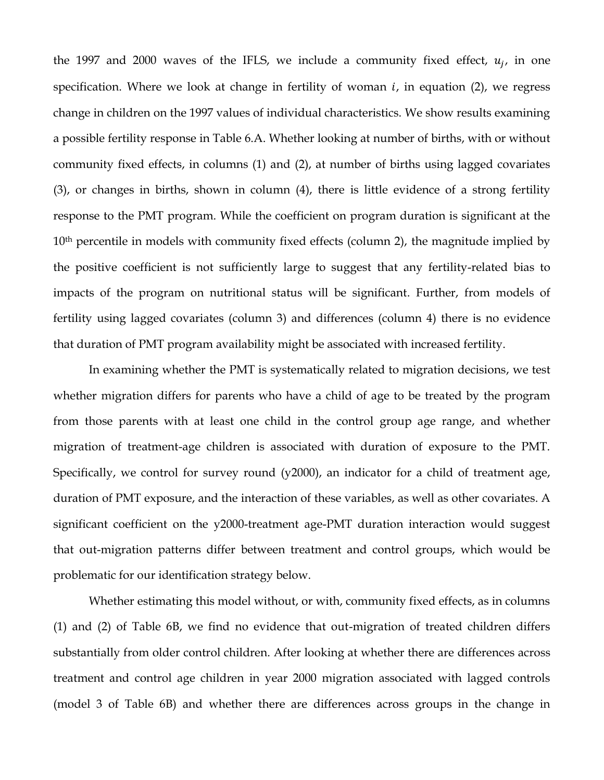the 1997 and 2000 waves of the IFLS, we include a community fixed effect,  $u_j$ , in one specification. Where we look at change in fertility of woman  $i$ , in equation (2), we regress change in children on the 1997 values of individual characteristics. We show results examining a possible fertility response in Table 6.A. Whether looking at number of births, with or without community fixed effects, in columns (1) and (2), at number of births using lagged covariates (3), or changes in births, shown in column (4), there is little evidence of a strong fertility response to the PMT program. While the coefficient on program duration is significant at the 10<sup>th</sup> percentile in models with community fixed effects (column 2), the magnitude implied by the positive coefficient is not sufficiently large to suggest that any fertility-related bias to impacts of the program on nutritional status will be significant. Further, from models of fertility using lagged covariates (column 3) and differences (column 4) there is no evidence that duration of PMT program availability might be associated with increased fertility.

In examining whether the PMT is systematically related to migration decisions, we test whether migration differs for parents who have a child of age to be treated by the program from those parents with at least one child in the control group age range, and whether migration of treatment-age children is associated with duration of exposure to the PMT. Specifically, we control for survey round (y2000), an indicator for a child of treatment age, duration of PMT exposure, and the interaction of these variables, as well as other covariates. A significant coefficient on the y2000-treatment age-PMT duration interaction would suggest that out-migration patterns differ between treatment and control groups, which would be problematic for our identification strategy below.

Whether estimating this model without, or with, community fixed effects, as in columns (1) and (2) of Table 6B, we find no evidence that out-migration of treated children differs substantially from older control children. After looking at whether there are differences across treatment and control age children in year 2000 migration associated with lagged controls (model 3 of Table 6B) and whether there are differences across groups in the change in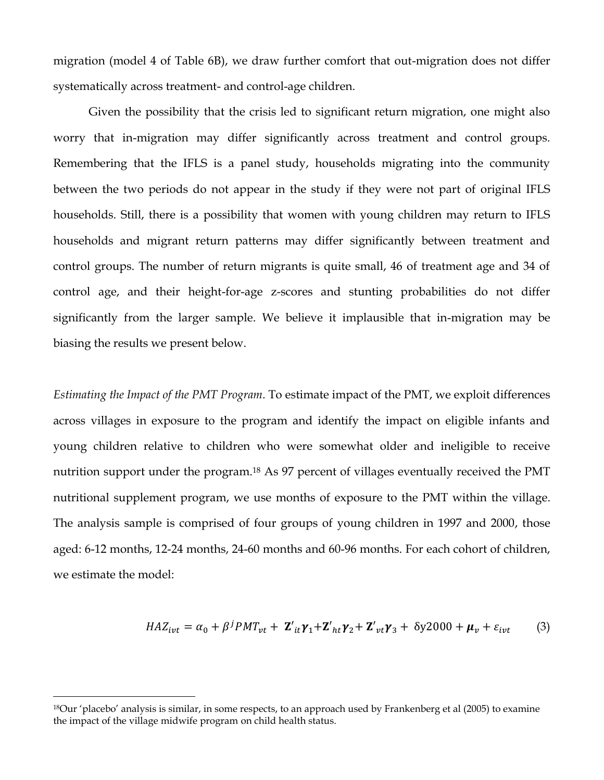migration (model 4 of Table 6B), we draw further comfort that out-migration does not differ systematically across treatment- and control-age children.

Given the possibility that the crisis led to significant return migration, one might also worry that in-migration may differ significantly across treatment and control groups. Remembering that the IFLS is a panel study, households migrating into the community between the two periods do not appear in the study if they were not part of original IFLS households. Still, there is a possibility that women with young children may return to IFLS households and migrant return patterns may differ significantly between treatment and control groups. The number of return migrants is quite small, 46 of treatment age and 34 of control age, and their height-for-age z-scores and stunting probabilities do not differ significantly from the larger sample. We believe it implausible that in-migration may be biasing the results we present below.

*Estimating the Impact of the PMT Program*. To estimate impact of the PMT, we exploit differences across villages in exposure to the program and identify the impact on eligible infants and young children relative to children who were somewhat older and ineligible to receive nutrition support under the program.<sup>18</sup> As 97 percent of villages eventually received the PMT nutritional supplement program, we use months of exposure to the PMT within the village. The analysis sample is comprised of four groups of young children in 1997 and 2000, those aged: 6-12 months, 12-24 months, 24-60 months and 60-96 months. For each cohort of children, we estimate the model:

$$
HAZ_{ivt} = \alpha_0 + \beta^j PMT_{vt} + \mathbf{Z'}_{it}\mathbf{\gamma}_1 + \mathbf{Z'}_{ht}\mathbf{\gamma}_2 + \mathbf{Z'}_{vt}\mathbf{\gamma}_3 + \delta y^2 000 + \boldsymbol{\mu}_v + \varepsilon_{ivt}
$$
 (3)

<sup>18</sup>Our 'placebo' analysis is similar, in some respects, to an approach used by Frankenberg et al (2005) to examine the impact of the village midwife program on child health status.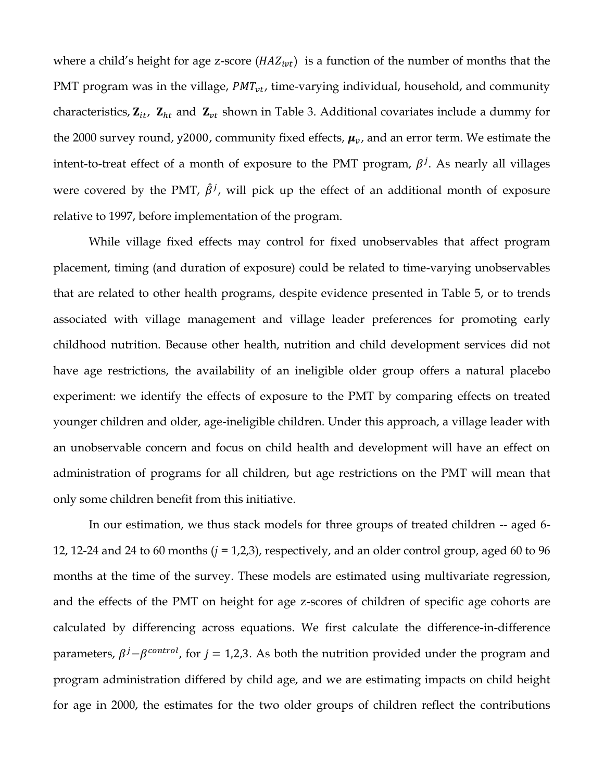where a child's height for age z-score  $(HAZ_{ivt})$  is a function of the number of months that the PMT program was in the village,  $PMT_{vt}$ , time-varying individual, household, and community characteristics,  $\mathbf{Z}_{it}$ ,  $\mathbf{Z}_{ht}$  and  $\mathbf{Z}_{vt}$  shown in Table 3. Additional covariates include a dummy for the 2000 survey round, y2000, community fixed effects,  $\mu_{\nu}$ , and an error term. We estimate the intent-to-treat effect of a month of exposure to the PMT program,  $\beta^{j}$ . As nearly all villages were covered by the PMT,  $\hat{\beta}^j$ , will pick up the effect of an additional month of exposure relative to 1997, before implementation of the program.

While village fixed effects may control for fixed unobservables that affect program placement, timing (and duration of exposure) could be related to time-varying unobservables that are related to other health programs, despite evidence presented in Table 5, or to trends associated with village management and village leader preferences for promoting early childhood nutrition. Because other health, nutrition and child development services did not have age restrictions, the availability of an ineligible older group offers a natural placebo experiment: we identify the effects of exposure to the PMT by comparing effects on treated younger children and older, age-ineligible children. Under this approach, a village leader with an unobservable concern and focus on child health and development will have an effect on administration of programs for all children, but age restrictions on the PMT will mean that only some children benefit from this initiative.

In our estimation, we thus stack models for three groups of treated children -- aged 6- 12, 12-24 and 24 to 60 months (*j* = 1,2,3), respectively, and an older control group, aged 60 to 96 months at the time of the survey. These models are estimated using multivariate regression, and the effects of the PMT on height for age z-scores of children of specific age cohorts are calculated by differencing across equations. We first calculate the difference-in-difference parameters,  $\beta^{j} - \beta^{control}$ , for  $j = 1,2,3$ . As both the nutrition provided under the program and program administration differed by child age, and we are estimating impacts on child height for age in 2000, the estimates for the two older groups of children reflect the contributions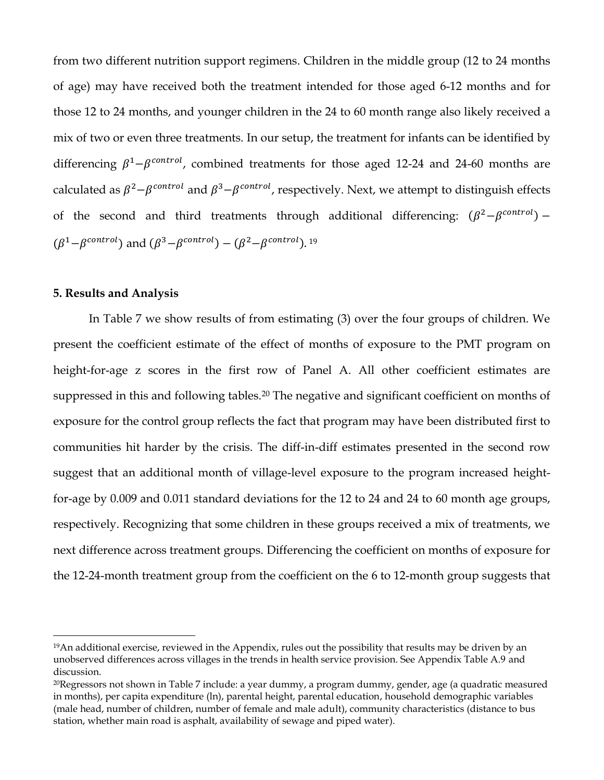from two different nutrition support regimens. Children in the middle group (12 to 24 months of age) may have received both the treatment intended for those aged 6-12 months and for those 12 to 24 months, and younger children in the 24 to 60 month range also likely received a mix of two or even three treatments. In our setup, the treatment for infants can be identified by differencing  $\beta^1 - \beta^{control}$ , combined treatments for those aged 12-24 and 24-60 months are calculated as  $\beta^2 - \beta^{control}$  and  $\beta^3 - \beta^{control}$ , respectively. Next, we attempt to distinguish effects of the second and third treatments through additional differencing:  $(\beta^2 - \beta^{control})$  –  $(\beta^1 - \beta^{control})$  and  $(\beta^3 - \beta^{control}) - (\beta^2 - \beta^{control})$ . <sup>19</sup>

### **5. Results and Analysis**

 $\overline{a}$ 

In Table 7 we show results of from estimating (3) over the four groups of children. We present the coefficient estimate of the effect of months of exposure to the PMT program on height-for-age z scores in the first row of Panel A. All other coefficient estimates are suppressed in this and following tables.<sup>20</sup> The negative and significant coefficient on months of exposure for the control group reflects the fact that program may have been distributed first to communities hit harder by the crisis. The diff-in-diff estimates presented in the second row suggest that an additional month of village-level exposure to the program increased heightfor-age by 0.009 and 0.011 standard deviations for the 12 to 24 and 24 to 60 month age groups, respectively. Recognizing that some children in these groups received a mix of treatments, we next difference across treatment groups. Differencing the coefficient on months of exposure for the 12-24-month treatment group from the coefficient on the 6 to 12-month group suggests that

<sup>19</sup>An additional exercise, reviewed in the Appendix, rules out the possibility that results may be driven by an unobserved differences across villages in the trends in health service provision. See Appendix Table A.9 and discussion.

<sup>20</sup>Regressors not shown in Table 7 include: a year dummy, a program dummy, gender, age (a quadratic measured in months), per capita expenditure (ln), parental height, parental education, household demographic variables (male head, number of children, number of female and male adult), community characteristics (distance to bus station, whether main road is asphalt, availability of sewage and piped water).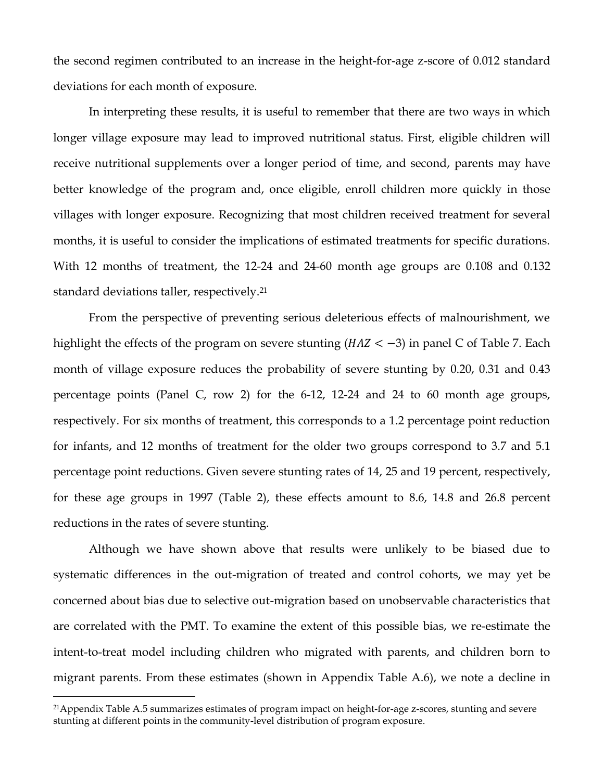the second regimen contributed to an increase in the height-for-age z-score of 0.012 standard deviations for each month of exposure.

In interpreting these results, it is useful to remember that there are two ways in which longer village exposure may lead to improved nutritional status. First, eligible children will receive nutritional supplements over a longer period of time, and second, parents may have better knowledge of the program and, once eligible, enroll children more quickly in those villages with longer exposure. Recognizing that most children received treatment for several months, it is useful to consider the implications of estimated treatments for specific durations. With 12 months of treatment, the 12-24 and 24-60 month age groups are 0.108 and 0.132 standard deviations taller, respectively.<sup>21</sup>

From the perspective of preventing serious deleterious effects of malnourishment, we highlight the effects of the program on severe stunting ( $HAZ < -3$ ) in panel C of Table 7. Each month of village exposure reduces the probability of severe stunting by 0.20, 0.31 and 0.43 percentage points (Panel C, row 2) for the 6-12, 12-24 and 24 to 60 month age groups, respectively. For six months of treatment, this corresponds to a 1.2 percentage point reduction for infants, and 12 months of treatment for the older two groups correspond to 3.7 and 5.1 percentage point reductions. Given severe stunting rates of 14, 25 and 19 percent, respectively, for these age groups in 1997 (Table 2), these effects amount to 8.6, 14.8 and 26.8 percent reductions in the rates of severe stunting.

Although we have shown above that results were unlikely to be biased due to systematic differences in the out-migration of treated and control cohorts, we may yet be concerned about bias due to selective out-migration based on unobservable characteristics that are correlated with the PMT. To examine the extent of this possible bias, we re-estimate the intent-to-treat model including children who migrated with parents, and children born to migrant parents. From these estimates (shown in Appendix Table A.6), we note a decline in

<sup>21</sup>Appendix Table A.5 summarizes estimates of program impact on height-for-age z-scores, stunting and severe stunting at different points in the community-level distribution of program exposure.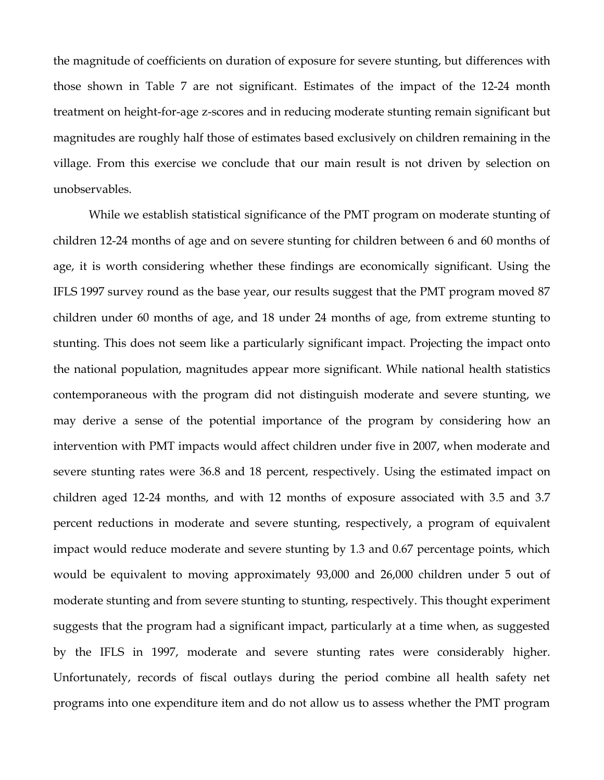the magnitude of coefficients on duration of exposure for severe stunting, but differences with those shown in Table 7 are not significant. Estimates of the impact of the 12-24 month treatment on height-for-age z-scores and in reducing moderate stunting remain significant but magnitudes are roughly half those of estimates based exclusively on children remaining in the village. From this exercise we conclude that our main result is not driven by selection on unobservables.

While we establish statistical significance of the PMT program on moderate stunting of children 12-24 months of age and on severe stunting for children between 6 and 60 months of age, it is worth considering whether these findings are economically significant. Using the IFLS 1997 survey round as the base year, our results suggest that the PMT program moved 87 children under 60 months of age, and 18 under 24 months of age, from extreme stunting to stunting. This does not seem like a particularly significant impact. Projecting the impact onto the national population, magnitudes appear more significant. While national health statistics contemporaneous with the program did not distinguish moderate and severe stunting, we may derive a sense of the potential importance of the program by considering how an intervention with PMT impacts would affect children under five in 2007, when moderate and severe stunting rates were 36.8 and 18 percent, respectively. Using the estimated impact on children aged 12-24 months, and with 12 months of exposure associated with 3.5 and 3.7 percent reductions in moderate and severe stunting, respectively, a program of equivalent impact would reduce moderate and severe stunting by 1.3 and 0.67 percentage points, which would be equivalent to moving approximately 93,000 and 26,000 children under 5 out of moderate stunting and from severe stunting to stunting, respectively. This thought experiment suggests that the program had a significant impact, particularly at a time when, as suggested by the IFLS in 1997, moderate and severe stunting rates were considerably higher. Unfortunately, records of fiscal outlays during the period combine all health safety net programs into one expenditure item and do not allow us to assess whether the PMT program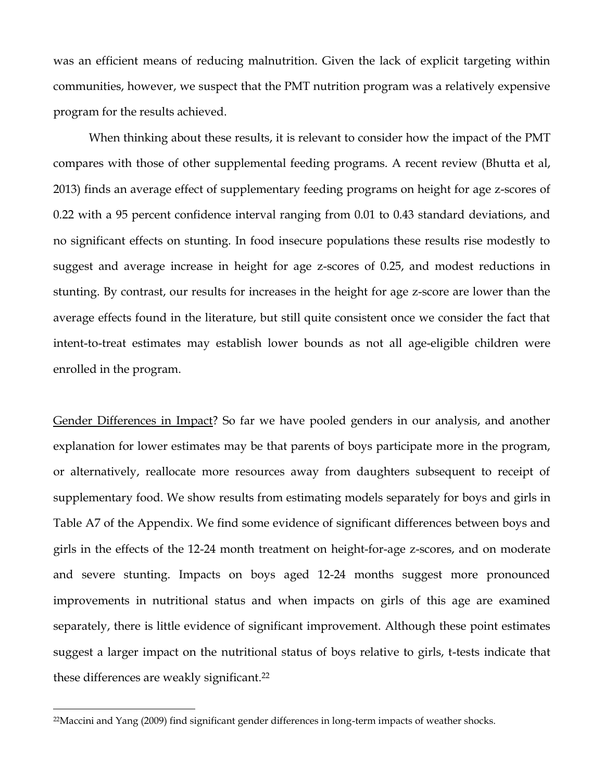was an efficient means of reducing malnutrition. Given the lack of explicit targeting within communities, however, we suspect that the PMT nutrition program was a relatively expensive program for the results achieved.

When thinking about these results, it is relevant to consider how the impact of the PMT compares with those of other supplemental feeding programs. A recent review (Bhutta et al, 2013) finds an average effect of supplementary feeding programs on height for age z-scores of 0.22 with a 95 percent confidence interval ranging from 0.01 to 0.43 standard deviations, and no significant effects on stunting. In food insecure populations these results rise modestly to suggest and average increase in height for age z-scores of 0.25, and modest reductions in stunting. By contrast, our results for increases in the height for age z-score are lower than the average effects found in the literature, but still quite consistent once we consider the fact that intent-to-treat estimates may establish lower bounds as not all age-eligible children were enrolled in the program.

Gender Differences in Impact? So far we have pooled genders in our analysis, and another explanation for lower estimates may be that parents of boys participate more in the program, or alternatively, reallocate more resources away from daughters subsequent to receipt of supplementary food. We show results from estimating models separately for boys and girls in Table A7 of the Appendix. We find some evidence of significant differences between boys and girls in the effects of the 12-24 month treatment on height-for-age z-scores, and on moderate and severe stunting. Impacts on boys aged 12-24 months suggest more pronounced improvements in nutritional status and when impacts on girls of this age are examined separately, there is little evidence of significant improvement. Although these point estimates suggest a larger impact on the nutritional status of boys relative to girls, t-tests indicate that these differences are weakly significant. 22

<sup>22</sup>Maccini and Yang (2009) find significant gender differences in long-term impacts of weather shocks.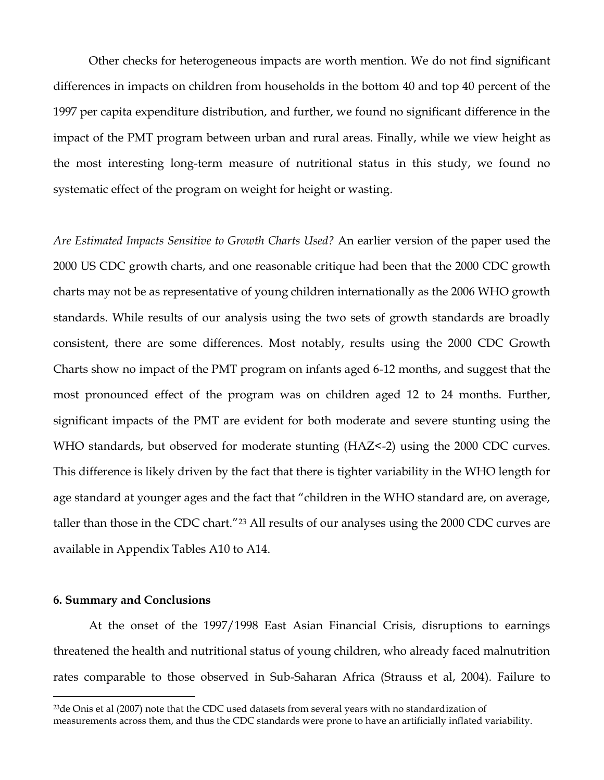Other checks for heterogeneous impacts are worth mention. We do not find significant differences in impacts on children from households in the bottom 40 and top 40 percent of the 1997 per capita expenditure distribution, and further, we found no significant difference in the impact of the PMT program between urban and rural areas. Finally, while we view height as the most interesting long-term measure of nutritional status in this study, we found no systematic effect of the program on weight for height or wasting.

*Are Estimated Impacts Sensitive to Growth Charts Used?* An earlier version of the paper used the 2000 US CDC growth charts, and one reasonable critique had been that the 2000 CDC growth charts may not be as representative of young children internationally as the 2006 WHO growth standards. While results of our analysis using the two sets of growth standards are broadly consistent, there are some differences. Most notably, results using the 2000 CDC Growth Charts show no impact of the PMT program on infants aged 6-12 months, and suggest that the most pronounced effect of the program was on children aged 12 to 24 months. Further, significant impacts of the PMT are evident for both moderate and severe stunting using the WHO standards, but observed for moderate stunting (HAZ<-2) using the 2000 CDC curves. This difference is likely driven by the fact that there is tighter variability in the WHO length for age standard at younger ages and the fact that "children in the WHO standard are, on average, taller than those in the CDC chart."<sup>23</sup> All results of our analyses using the 2000 CDC curves are available in Appendix Tables A10 to A14.

#### **6. Summary and Conclusions**

 $\overline{a}$ 

At the onset of the 1997/1998 East Asian Financial Crisis, disruptions to earnings threatened the health and nutritional status of young children, who already faced malnutrition rates comparable to those observed in Sub-Saharan Africa (Strauss et al, 2004). Failure to

 $23$ de Onis et al (2007) note that the CDC used datasets from several years with no standardization of measurements across them, and thus the CDC standards were prone to have an artificially inflated variability.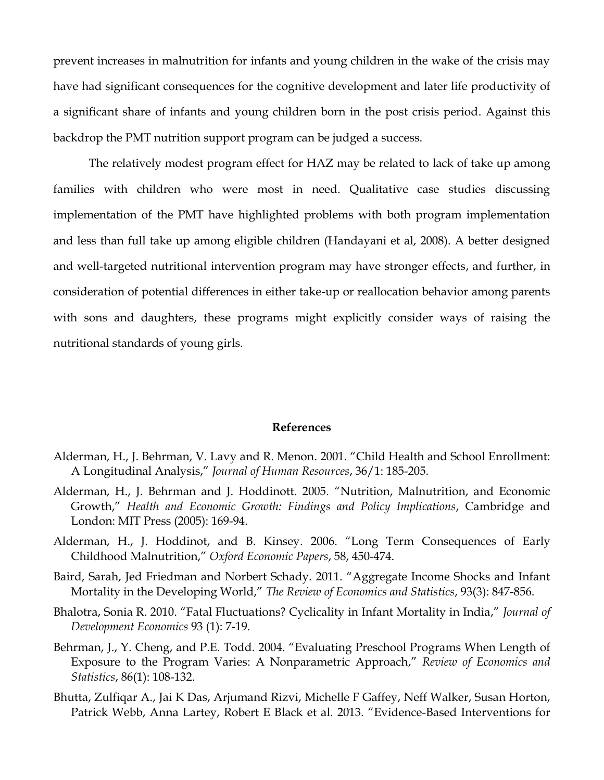prevent increases in malnutrition for infants and young children in the wake of the crisis may have had significant consequences for the cognitive development and later life productivity of a significant share of infants and young children born in the post crisis period. Against this backdrop the PMT nutrition support program can be judged a success.

The relatively modest program effect for HAZ may be related to lack of take up among families with children who were most in need. Qualitative case studies discussing implementation of the PMT have highlighted problems with both program implementation and less than full take up among eligible children (Handayani et al, 2008). A better designed and well-targeted nutritional intervention program may have stronger effects, and further, in consideration of potential differences in either take-up or reallocation behavior among parents with sons and daughters, these programs might explicitly consider ways of raising the nutritional standards of young girls.

### **References**

- Alderman, H., J. Behrman, V. Lavy and R. Menon. 2001. "Child Health and School Enrollment: A Longitudinal Analysis," *Journal of Human Resources*, 36/1: 185-205.
- Alderman, H., J. Behrman and J. Hoddinott. 2005. "Nutrition, Malnutrition, and Economic Growth," *Health and Economic Growth: Findings and Policy Implications*, Cambridge and London: MIT Press (2005): 169-94.
- Alderman, H., J. Hoddinot, and B. Kinsey. 2006. "Long Term Consequences of Early Childhood Malnutrition," *Oxford Economic Papers*, 58, 450-474.
- Baird, Sarah, Jed Friedman and Norbert Schady. 2011. "Aggregate Income Shocks and Infant Mortality in the Developing World," *The Review of Economics and Statistics*, 93(3): 847-856.
- Bhalotra, Sonia R. 2010. "Fatal Fluctuations? Cyclicality in Infant Mortality in India," *Journal of Development Economics* 93 (1): 7-19.
- Behrman, J., Y. Cheng, and P.E. Todd. 2004. "Evaluating Preschool Programs When Length of Exposure to the Program Varies: A Nonparametric Approach," *Review of Economics and Statistics*, 86(1): 108-132.
- Bhutta, Zulfiqar A., Jai K Das, Arjumand Rizvi, Michelle F Gaffey, Neff Walker, Susan Horton, Patrick Webb, Anna Lartey, Robert E Black et al. 2013. "Evidence-Based Interventions for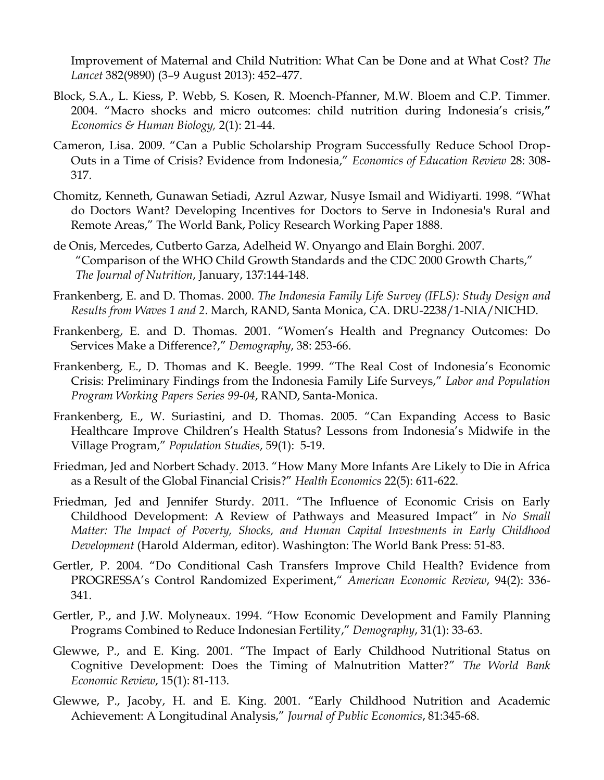Improvement of Maternal and Child Nutrition: What Can be Done and at What Cost? *The Lancet* 382(9890) (3–9 August 2013): 452–477.

- Block, S.A., L. Kiess, P. Webb, S. Kosen, R. Moench-Pfanner, M.W. Bloem and C.P. Timmer. 2004. "Macro shocks and micro outcomes: child nutrition during Indonesia's crisis,**"**  *Economics & Human Biology,* 2(1): 21-44.
- Cameron, Lisa. 2009. "Can a Public Scholarship Program Successfully Reduce School Drop-Outs in a Time of Crisis? Evidence from Indonesia," *Economics of Education Review* 28: 308- 317.
- Chomitz, Kenneth, Gunawan Setiadi, Azrul Azwar, Nusye Ismail and Widiyarti. 1998. "What do Doctors Want? Developing Incentives for Doctors to Serve in Indonesia's Rural and Remote Areas," The World Bank, Policy Research Working Paper 1888.
- de Onis, Mercedes, Cutberto Garza, Adelheid W. Onyango and Elain Borghi. 2007. "Comparison of the WHO Child Growth Standards and the CDC 2000 Growth Charts," *The Journal of Nutrition*, January, 137:144-148.
- Frankenberg, E. and D. Thomas. 2000. *The Indonesia Family Life Survey (IFLS): Study Design and Results from Waves 1 and 2*. March, RAND, Santa Monica, CA. DRU-2238/1-NIA/NICHD.
- Frankenberg, E. and D. Thomas. 2001. "Women's Health and Pregnancy Outcomes: Do Services Make a Difference?," *Demography*, 38: 253-66.
- Frankenberg, E., D. Thomas and K. Beegle. 1999. "The Real Cost of Indonesia's Economic Crisis: Preliminary Findings from the Indonesia Family Life Surveys," *Labor and Population Program Working Papers Series 99-04*, RAND, Santa-Monica.
- Frankenberg, E., W. Suriastini, and D. Thomas. 2005. "Can Expanding Access to Basic Healthcare Improve Children's Health Status? Lessons from Indonesia's Midwife in the Village Program," *Population Studies*, 59(1): 5-19.
- Friedman, Jed and Norbert Schady. 2013. "How Many More Infants Are Likely to Die in Africa as a Result of the Global Financial Crisis?" *Health Economics* 22(5): 611-622.
- Friedman, Jed and Jennifer Sturdy. 2011. "The Influence of Economic Crisis on Early Childhood Development: A Review of Pathways and Measured Impact" in *No Small Matter: The Impact of Poverty, Shocks, and Human Capital Investments in Early Childhood Development* (Harold Alderman, editor). Washington: The World Bank Press: 51-83.
- Gertler, P. 2004. "Do Conditional Cash Transfers Improve Child Health? Evidence from PROGRESSA's Control Randomized Experiment," *American Economic Review*, 94(2): 336- 341.
- Gertler, P., and J.W. Molyneaux. 1994. "How Economic Development and Family Planning Programs Combined to Reduce Indonesian Fertility," *Demography*, 31(1): 33-63.
- Glewwe, P., and E. King. 2001. "The Impact of Early Childhood Nutritional Status on Cognitive Development: Does the Timing of Malnutrition Matter?" *The World Bank Economic Review*, 15(1): 81-113.
- Glewwe, P., Jacoby, H. and E. King. 2001. "Early Childhood Nutrition and Academic Achievement: A Longitudinal Analysis," *Journal of Public Economics*, 81:345-68.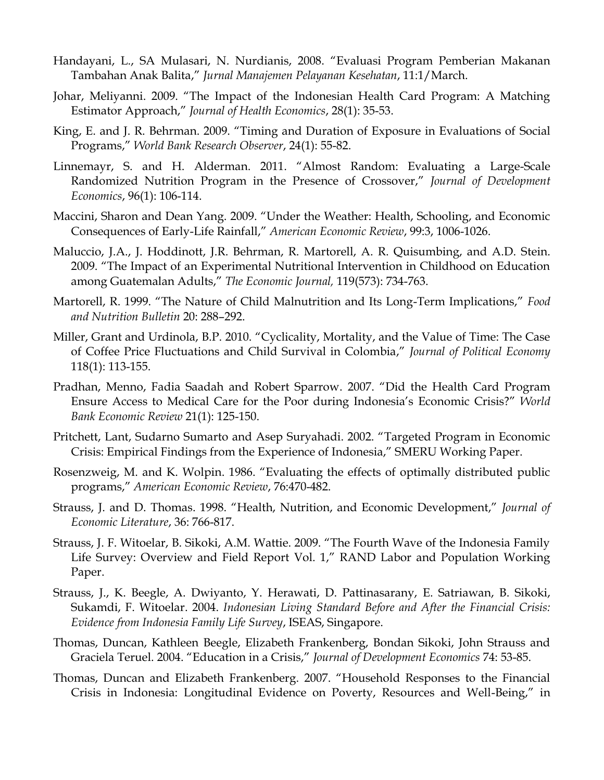- Handayani, L., SA Mulasari, N. Nurdianis, 2008. "Evaluasi Program Pemberian Makanan Tambahan Anak Balita," *Jurnal Manajemen Pelayanan Kesehatan*, 11:1/March.
- Johar, Meliyanni. 2009. "The Impact of the Indonesian Health Card Program: A Matching Estimator Approach," *Journal of Health Economics*, 28(1): 35-53.
- King, E. and J. R. Behrman. 2009. "Timing and Duration of Exposure in Evaluations of Social Programs," *World Bank Research Observer*, 24(1): 55-82.
- Linnemayr, S. and H. Alderman. 2011. "Almost Random: Evaluating a Large-Scale Randomized Nutrition Program in the Presence of Crossover," *Journal of Development Economics*, 96(1): 106-114.
- Maccini, Sharon and Dean Yang. 2009. "Under the Weather: Health, Schooling, and Economic Consequences of Early-Life Rainfall," *American Economic Review*, 99:3, 1006-1026.
- Maluccio, J.A., J. Hoddinott, J.R. Behrman, R. Martorell, A. R. Quisumbing, and A.D. Stein. 2009. "The Impact of an Experimental Nutritional Intervention in Childhood on Education among Guatemalan Adults," *The Economic Journal,* 119(573): 734-763.
- Martorell, R. 1999. "The Nature of Child Malnutrition and Its Long-Term Implications," *Food and Nutrition Bulletin* 20: 288–292.
- Miller, Grant and Urdinola, B.P. 2010. "Cyclicality, Mortality, and the Value of Time: The Case of Coffee Price Fluctuations and Child Survival in Colombia," *Journal of Political Economy* 118(1): 113-155.
- Pradhan, Menno, Fadia Saadah and Robert Sparrow. 2007. "Did the Health Card Program Ensure Access to Medical Care for the Poor during Indonesia's Economic Crisis?" *World Bank Economic Review* 21(1): 125-150.
- Pritchett, Lant, Sudarno Sumarto and Asep Suryahadi. 2002. "Targeted Program in Economic Crisis: Empirical Findings from the Experience of Indonesia," SMERU Working Paper.
- Rosenzweig, M. and K. Wolpin. 1986. "Evaluating the effects of optimally distributed public programs," *American Economic Review*, 76:470-482.
- Strauss, J. and D. Thomas. 1998. "Health, Nutrition, and Economic Development," *Journal of Economic Literature*, 36: 766-817.
- Strauss, J. F. Witoelar, B. Sikoki, A.M. Wattie. 2009. "The Fourth Wave of the Indonesia Family Life Survey: Overview and Field Report Vol. 1," RAND Labor and Population Working Paper.
- Strauss, J., K. Beegle, A. Dwiyanto, Y. Herawati, D. Pattinasarany, E. Satriawan, B. Sikoki, Sukamdi, F. Witoelar. 2004. *Indonesian Living Standard Before and After the Financial Crisis: Evidence from Indonesia Family Life Survey*, ISEAS, Singapore.
- Thomas, Duncan, Kathleen Beegle, Elizabeth Frankenberg, Bondan Sikoki, John Strauss and Graciela Teruel. 2004. "Education in a Crisis," *Journal of Development Economics* 74: 53-85.
- Thomas, Duncan and Elizabeth Frankenberg. 2007. "Household Responses to the Financial Crisis in Indonesia: Longitudinal Evidence on Poverty, Resources and Well-Being," in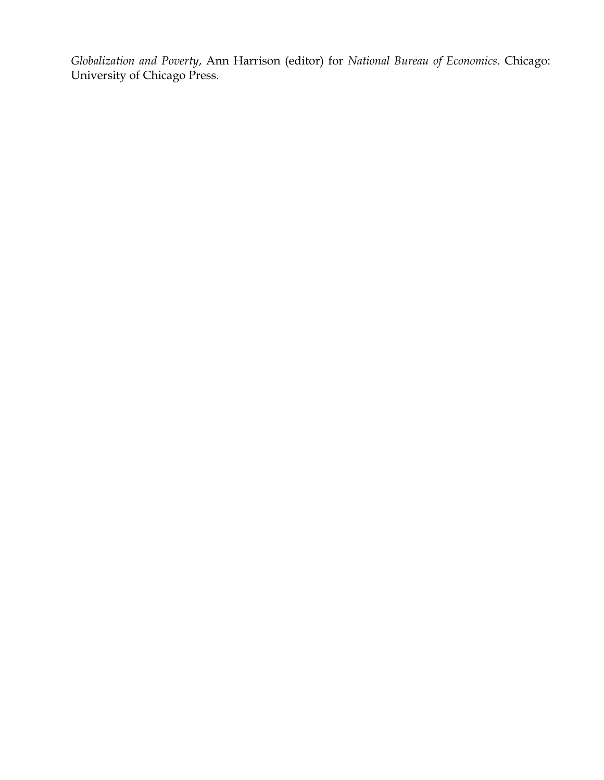*Globalization and Poverty*, Ann Harrison (editor) for *National Bureau of Economics*. Chicago: University of Chicago Press.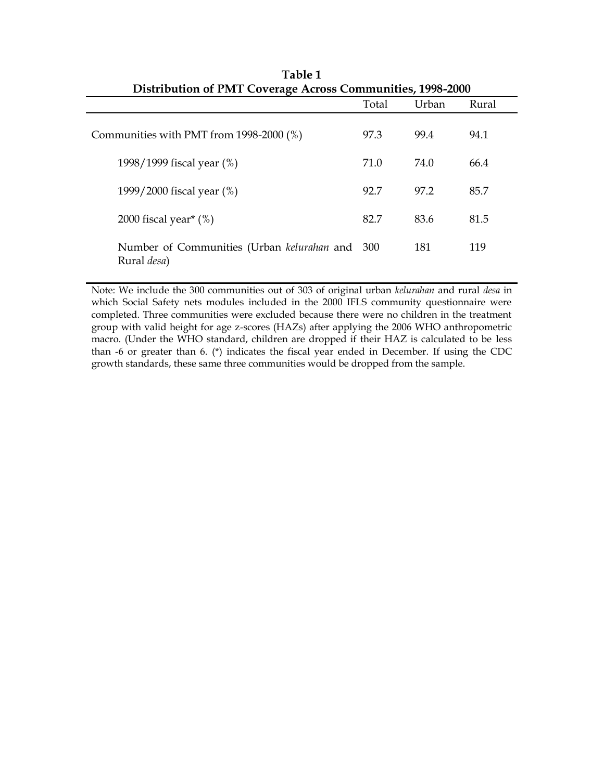| Distribution of PMT Coverage Across Communities, 1998-2000            |       |       |       |
|-----------------------------------------------------------------------|-------|-------|-------|
|                                                                       | Total | Urban | Rural |
| Communities with PMT from 1998-2000 (%)                               | 97.3  | 99.4  | 94.1  |
| 1998/1999 fiscal year (%)                                             | 71.0  | 74.0  | 66.4  |
| 1999/2000 fiscal year (%)                                             | 92.7  | 97.2  | 85.7  |
| 2000 fiscal year <sup>*</sup> $(\%)$                                  | 82.7  | 83.6  | 81.5  |
| Number of Communities (Urban kelurahan and 300<br>Rural <i>desa</i> ) |       | 181   | 119   |

**Table 1 Distribution of PMT Coverage Across Communities, 1998-2000**

Note: We include the 300 communities out of 303 of original urban *kelurahan* and rural *desa* in which Social Safety nets modules included in the 2000 IFLS community questionnaire were completed. Three communities were excluded because there were no children in the treatment group with valid height for age z-scores (HAZs) after applying the 2006 WHO anthropometric macro. (Under the WHO standard, children are dropped if their HAZ is calculated to be less than -6 or greater than 6. (\*) indicates the fiscal year ended in December. If using the CDC growth standards, these same three communities would be dropped from the sample.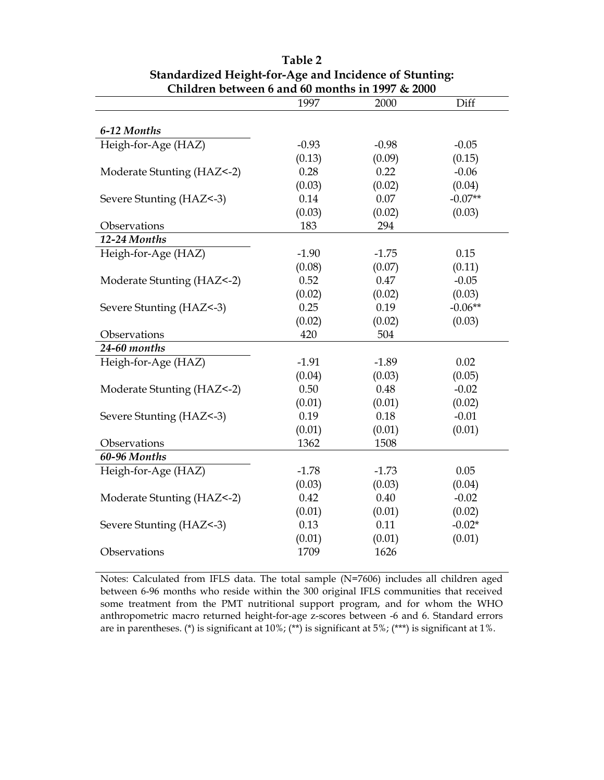| Chinulen between 6 and 60 months in 1997 & 2000 |         |         |           |
|-------------------------------------------------|---------|---------|-----------|
|                                                 | 1997    | 2000    | Diff      |
|                                                 |         |         |           |
| 6-12 Months                                     |         |         |           |
| Heigh-for-Age (HAZ)                             | $-0.93$ | $-0.98$ | $-0.05$   |
|                                                 | (0.13)  | (0.09)  | (0.15)    |
| Moderate Stunting (HAZ<-2)                      | 0.28    | 0.22    | $-0.06$   |
|                                                 | (0.03)  | (0.02)  | (0.04)    |
| Severe Stunting (HAZ<-3)                        | 0.14    | 0.07    | $-0.07**$ |
|                                                 | (0.03)  | (0.02)  | (0.03)    |
| Observations                                    | 183     | 294     |           |
| 12-24 Months                                    |         |         |           |
| Heigh-for-Age (HAZ)                             | $-1.90$ | $-1.75$ | 0.15      |
|                                                 | (0.08)  | (0.07)  | (0.11)    |
| Moderate Stunting (HAZ<-2)                      | 0.52    | 0.47    | $-0.05$   |
|                                                 | (0.02)  | (0.02)  | (0.03)    |
| Severe Stunting (HAZ<-3)                        | 0.25    | 0.19    | $-0.06**$ |
|                                                 | (0.02)  | (0.02)  | (0.03)    |
| Observations                                    | 420     | 504     |           |
| 24-60 months                                    |         |         |           |
| Heigh-for-Age (HAZ)                             | $-1.91$ | $-1.89$ | 0.02      |
|                                                 | (0.04)  | (0.03)  | (0.05)    |
| Moderate Stunting (HAZ<-2)                      | 0.50    | 0.48    | $-0.02$   |
|                                                 | (0.01)  | (0.01)  | (0.02)    |
| Severe Stunting (HAZ<-3)                        | 0.19    | 0.18    | $-0.01$   |
|                                                 | (0.01)  | (0.01)  | (0.01)    |
| Observations                                    | 1362    | 1508    |           |
| 60-96 Months                                    |         |         |           |
| Heigh-for-Age (HAZ)                             | $-1.78$ | $-1.73$ | 0.05      |
|                                                 | (0.03)  | (0.03)  | (0.04)    |
| Moderate Stunting (HAZ<-2)                      | 0.42    | 0.40    | $-0.02$   |
|                                                 | (0.01)  | (0.01)  | (0.02)    |
| Severe Stunting (HAZ<-3)                        | 0.13    | 0.11    | $-0.02*$  |
|                                                 | (0.01)  | (0.01)  | (0.01)    |
| Observations                                    | 1709    | 1626    |           |
|                                                 |         |         |           |

**Table 2 Standardized Height-for-Age and Incidence of Stunting: Children between 6 and 60 months in 1997 & 2000**

Notes: Calculated from IFLS data. The total sample (N=7606) includes all children aged between 6-96 months who reside within the 300 original IFLS communities that received some treatment from the PMT nutritional support program, and for whom the WHO anthropometric macro returned height-for-age z-scores between -6 and 6. Standard errors are in parentheses. (\*) is significant at 10%; (\*\*) is significant at 5%; (\*\*\*) is significant at 1%.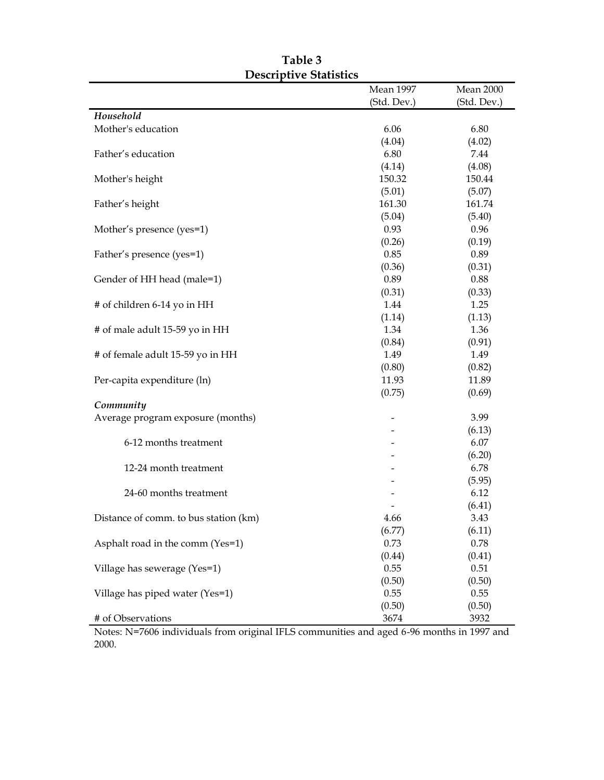|                                       | <b>Mean 1997</b> | Mean 2000   |
|---------------------------------------|------------------|-------------|
|                                       | (Std. Dev.)      | (Std. Dev.) |
| Household                             |                  |             |
| Mother's education                    | 6.06             | 6.80        |
|                                       | (4.04)           | (4.02)      |
| Father's education                    | 6.80             | 7.44        |
|                                       | (4.14)           | (4.08)      |
| Mother's height                       | 150.32           | 150.44      |
|                                       | (5.01)           | (5.07)      |
| Father's height                       | 161.30           | 161.74      |
|                                       | (5.04)           | (5.40)      |
| Mother's presence (yes=1)             | 0.93             | 0.96        |
|                                       | (0.26)           | (0.19)      |
| Father's presence (yes=1)             | 0.85             | 0.89        |
|                                       | (0.36)           | (0.31)      |
| Gender of HH head (male=1)            | 0.89             | 0.88        |
|                                       | (0.31)           | (0.33)      |
| # of children 6-14 yo in HH           | 1.44             | 1.25        |
|                                       | (1.14)           | (1.13)      |
| # of male adult 15-59 yo in HH        | 1.34             | 1.36        |
|                                       | (0.84)           | (0.91)      |
| # of female adult 15-59 yo in HH      | 1.49             | 1.49        |
|                                       | (0.80)           | (0.82)      |
| Per-capita expenditure (ln)           | 11.93            | 11.89       |
|                                       | (0.75)           | (0.69)      |
| Community                             |                  |             |
| Average program exposure (months)     |                  | 3.99        |
|                                       |                  | (6.13)      |
| 6-12 months treatment                 |                  | 6.07        |
|                                       |                  | (6.20)      |
| 12-24 month treatment                 |                  | 6.78        |
|                                       |                  | (5.95)      |
| 24-60 months treatment                |                  | 6.12        |
|                                       |                  | (6.41)      |
| Distance of comm. to bus station (km) | 4.66             | 3.43        |
|                                       | (6.77)           | (6.11)      |
| Asphalt road in the comm (Yes=1)      | 0.73             | 0.78        |
|                                       | (0.44)           | (0.41)      |
| Village has sewerage (Yes=1)          | 0.55             | 0.51        |
|                                       | (0.50)           | (0.50)      |
| Village has piped water (Yes=1)       | 0.55             | 0.55        |
|                                       | (0.50)           | (0.50)      |
| # of Observations                     | 3674             | 3932        |

**Table 3 Descriptive Statistics**

Notes: N=7606 individuals from original IFLS communities and aged 6-96 months in 1997 and 2000.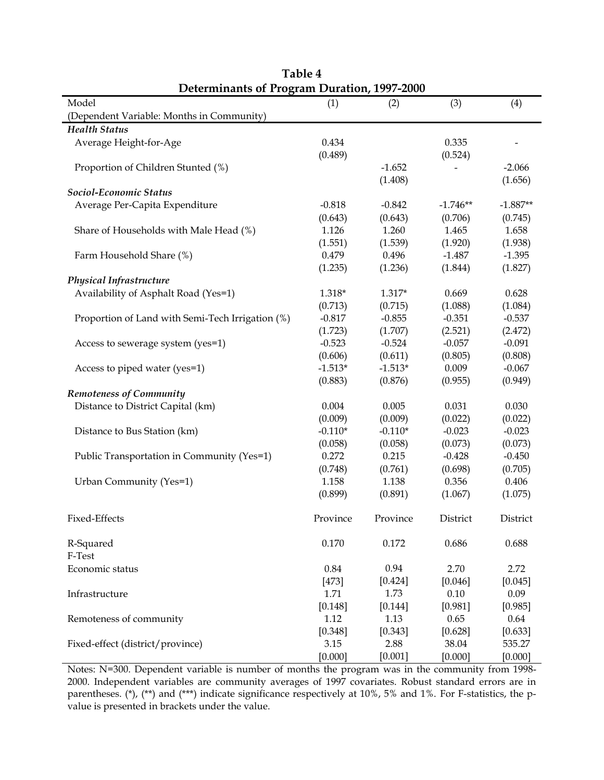| <b>Determinants of Program Duration, 1997-2000</b> |           |           |            |            |
|----------------------------------------------------|-----------|-----------|------------|------------|
| Model                                              | (1)       | (2)       | (3)        | (4)        |
| (Dependent Variable: Months in Community)          |           |           |            |            |
| <b>Health Status</b>                               |           |           |            |            |
| Average Height-for-Age                             | 0.434     |           | 0.335      |            |
|                                                    | (0.489)   |           | (0.524)    |            |
| Proportion of Children Stunted (%)                 |           | $-1.652$  |            | $-2.066$   |
|                                                    |           | (1.408)   |            | (1.656)    |
| Sociol-Economic Status                             |           |           |            |            |
| Average Per-Capita Expenditure                     | $-0.818$  | $-0.842$  | $-1.746**$ | $-1.887**$ |
|                                                    | (0.643)   | (0.643)   | (0.706)    | (0.745)    |
| Share of Households with Male Head (%)             | 1.126     | 1.260     | 1.465      | 1.658      |
|                                                    | (1.551)   | (1.539)   | (1.920)    | (1.938)    |
| Farm Household Share (%)                           | 0.479     | 0.496     | $-1.487$   | $-1.395$   |
|                                                    | (1.235)   | (1.236)   | (1.844)    | (1.827)    |
| <b>Physical Infrastructure</b>                     |           |           |            |            |
| Availability of Asphalt Road (Yes=1)               | $1.318*$  | $1.317*$  | 0.669      | 0.628      |
|                                                    | (0.713)   | (0.715)   | (1.088)    | (1.084)    |
|                                                    | $-0.817$  | $-0.855$  | $-0.351$   | $-0.537$   |
| Proportion of Land with Semi-Tech Irrigation (%)   |           |           |            |            |
|                                                    | (1.723)   | (1.707)   | (2.521)    | (2.472)    |
| Access to sewerage system (yes=1)                  | $-0.523$  | $-0.524$  | $-0.057$   | $-0.091$   |
|                                                    | (0.606)   | (0.611)   | (0.805)    | (0.808)    |
| Access to piped water (yes=1)                      | $-1.513*$ | $-1.513*$ | 0.009      | $-0.067$   |
|                                                    | (0.883)   | (0.876)   | (0.955)    | (0.949)    |
| <b>Remoteness of Community</b>                     |           |           |            |            |
| Distance to District Capital (km)                  | 0.004     | 0.005     | 0.031      | 0.030      |
|                                                    | (0.009)   | (0.009)   | (0.022)    | (0.022)    |
| Distance to Bus Station (km)                       | $-0.110*$ | $-0.110*$ | $-0.023$   | $-0.023$   |
|                                                    | (0.058)   | (0.058)   | (0.073)    | (0.073)    |
| Public Transportation in Community (Yes=1)         | 0.272     | 0.215     | $-0.428$   | $-0.450$   |
|                                                    | (0.748)   | (0.761)   | (0.698)    | (0.705)    |
| Urban Community (Yes=1)                            | 1.158     | 1.138     | 0.356      | 0.406      |
|                                                    | (0.899)   | (0.891)   | (1.067)    | (1.075)    |
| Fixed-Effects                                      | Province  | Province  | District   | District   |
| R-Squared<br>F-Test                                | 0.170     | 0.172     | 0.686      | 0.688      |
| Economic status                                    | 0.84      | 0.94      | 2.70       | 2.72       |
|                                                    |           |           |            |            |
|                                                    | $[473]$   | [0.424]   | [0.046]    | [0.045]    |
| Infrastructure                                     | 1.71      | 1.73      | 0.10       | 0.09       |
|                                                    | [0.148]   | [0.144]   | [0.981]    | [0.985]    |
| Remoteness of community                            | 1.12      | 1.13      | 0.65       | 0.64       |
|                                                    | [0.348]   | [0.343]   | [0.628]    | [0.633]    |
| Fixed-effect (district/province)                   | 3.15      | 2.88      | 38.04      | 535.27     |
|                                                    | [0.000]   | [0.001]   | [0.000]    | [0.000]    |

**Table 4**

Notes: N=300. Dependent variable is number of months the program was in the community from 1998- 2000. Independent variables are community averages of 1997 covariates. Robust standard errors are in parentheses. (\*), (\*\*) and (\*\*\*) indicate significance respectively at 10%, 5% and 1%. For F-statistics, the pvalue is presented in brackets under the value.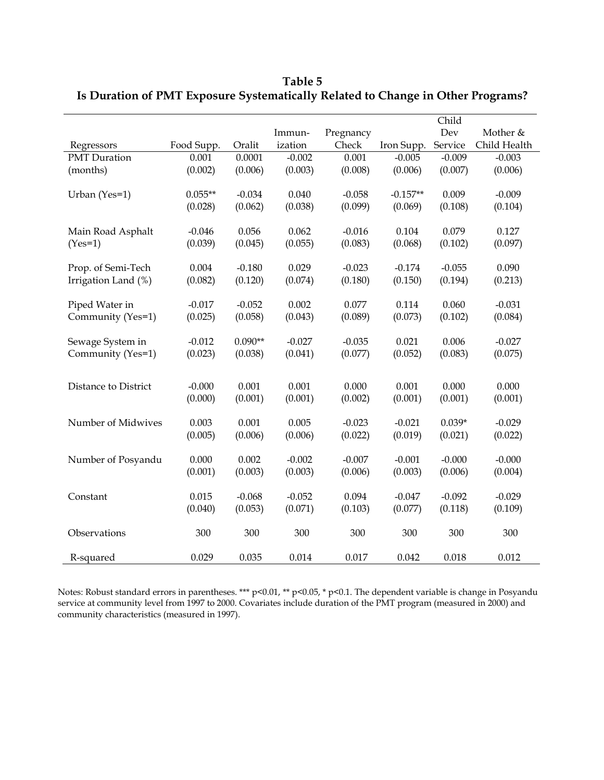|                      |            |           |          |           |            | Child    |              |
|----------------------|------------|-----------|----------|-----------|------------|----------|--------------|
|                      |            |           | Immun-   | Pregnancy |            | Dev      | Mother &     |
| Regressors           | Food Supp. | Oralit    | ization  | Check     | Iron Supp. | Service  | Child Health |
| <b>PMT</b> Duration  | 0.001      | 0.0001    | $-0.002$ | 0.001     | $-0.005$   | $-0.009$ | $-0.003$     |
| (months)             | (0.002)    | (0.006)   | (0.003)  | (0.008)   | (0.006)    | (0.007)  | (0.006)      |
|                      |            |           |          |           |            |          |              |
| Urban (Yes=1)        | $0.055**$  | $-0.034$  | 0.040    | $-0.058$  | $-0.157**$ | 0.009    | $-0.009$     |
|                      | (0.028)    | (0.062)   | (0.038)  | (0.099)   | (0.069)    | (0.108)  | (0.104)      |
|                      |            |           |          |           |            |          |              |
| Main Road Asphalt    | $-0.046$   | 0.056     | 0.062    | $-0.016$  | 0.104      | 0.079    | 0.127        |
| $(Yes=1)$            | (0.039)    | (0.045)   | (0.055)  | (0.083)   | (0.068)    | (0.102)  | (0.097)      |
|                      |            |           |          |           |            |          |              |
| Prop. of Semi-Tech   | 0.004      | $-0.180$  | 0.029    | $-0.023$  | $-0.174$   | $-0.055$ | 0.090        |
| Irrigation Land (%)  | (0.082)    | (0.120)   | (0.074)  | (0.180)   | (0.150)    | (0.194)  | (0.213)      |
|                      |            |           |          |           |            |          |              |
| Piped Water in       | $-0.017$   | $-0.052$  | 0.002    | 0.077     | 0.114      | 0.060    | $-0.031$     |
| Community (Yes=1)    | (0.025)    | (0.058)   | (0.043)  | (0.089)   | (0.073)    | (0.102)  | (0.084)      |
|                      |            |           |          |           |            |          |              |
| Sewage System in     | $-0.012$   | $0.090**$ | $-0.027$ | $-0.035$  | 0.021      | 0.006    | $-0.027$     |
| Community (Yes=1)    | (0.023)    | (0.038)   | (0.041)  | (0.077)   | (0.052)    | (0.083)  | (0.075)      |
|                      |            |           |          |           |            |          |              |
| Distance to District | $-0.000$   | 0.001     | 0.001    | 0.000     | 0.001      | 0.000    | 0.000        |
|                      |            |           |          |           |            |          |              |
|                      | (0.000)    | (0.001)   | (0.001)  | (0.002)   | (0.001)    | (0.001)  | (0.001)      |
| Number of Midwives   | 0.003      | 0.001     | 0.005    | $-0.023$  | $-0.021$   | $0.039*$ | $-0.029$     |
|                      | (0.005)    | (0.006)   | (0.006)  | (0.022)   | (0.019)    | (0.021)  | (0.022)      |
|                      |            |           |          |           |            |          |              |
| Number of Posyandu   | 0.000      | 0.002     | $-0.002$ | $-0.007$  | $-0.001$   | $-0.000$ | $-0.000$     |
|                      | (0.001)    | (0.003)   | (0.003)  | (0.006)   | (0.003)    | (0.006)  | (0.004)      |
|                      |            |           |          |           |            |          |              |
| Constant             | 0.015      | $-0.068$  | $-0.052$ | 0.094     | $-0.047$   | $-0.092$ | $-0.029$     |
|                      | (0.040)    | (0.053)   | (0.071)  | (0.103)   | (0.077)    | (0.118)  | (0.109)      |
|                      |            |           |          |           |            |          |              |
| Observations         | 300        | 300       | 300      | 300       | 300        | 300      | 300          |
|                      |            |           |          |           |            |          |              |
| R-squared            | 0.029      | 0.035     | 0.014    | 0.017     | 0.042      | 0.018    | 0.012        |

**Table 5 Is Duration of PMT Exposure Systematically Related to Change in Other Programs?**

Notes: Robust standard errors in parentheses. \*\*\* p<0.01, \*\* p<0.05, \* p<0.1. The dependent variable is change in Posyandu service at community level from 1997 to 2000. Covariates include duration of the PMT program (measured in 2000) and community characteristics (measured in 1997).

l.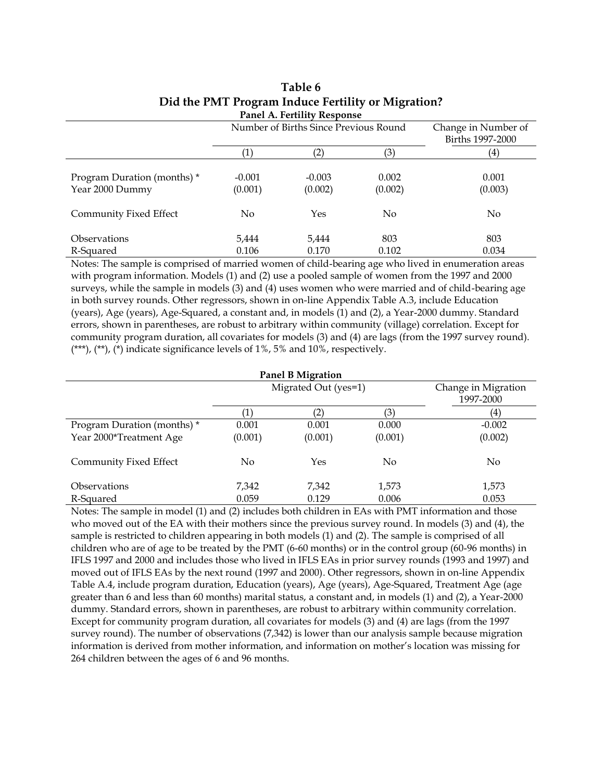| Panel A. Fertility Response                    |                     |                                       |                  |                                         |  |
|------------------------------------------------|---------------------|---------------------------------------|------------------|-----------------------------------------|--|
|                                                |                     | Number of Births Since Previous Round |                  | Change in Number of<br>Births 1997-2000 |  |
|                                                | $\left( 1\right)$   | $\left( 2\right)$                     | (3)              | (4)                                     |  |
| Program Duration (months) *<br>Year 2000 Dummy | $-0.001$<br>(0.001) | $-0.003$<br>(0.002)                   | 0.002<br>(0.002) | 0.001<br>(0.003)                        |  |
| Community Fixed Effect                         | N <sub>0</sub>      | Yes                                   | N <sub>0</sub>   | No                                      |  |
| <b>Observations</b><br>R-Squared               | 5,444<br>0.106      | 5,444<br>0.170                        | 803<br>0.102     | 803<br>0.034                            |  |

#### **Table 6 Did the PMT Program Induce Fertility or Migration? Panel A. Fertility Response**

Notes: The sample is comprised of married women of child-bearing age who lived in enumeration areas with program information. Models (1) and (2) use a pooled sample of women from the 1997 and 2000 surveys, while the sample in models (3) and (4) uses women who were married and of child-bearing age in both survey rounds. Other regressors, shown in on-line Appendix Table A.3, include Education (years), Age (years), Age-Squared, a constant and, in models (1) and (2), a Year-2000 dummy. Standard errors, shown in parentheses, are robust to arbitrary within community (village) correlation. Except for community program duration, all covariates for models (3) and (4) are lags (from the 1997 survey round). (\*\*\*), (\*\*), (\*) indicate significance levels of 1%, 5% and 10%, respectively.

| <b>Panel B Migration</b>    |         |                       |                |                                  |
|-----------------------------|---------|-----------------------|----------------|----------------------------------|
|                             |         | Migrated Out (yes=1)  |                | Change in Migration<br>1997-2000 |
|                             |         | $\mathbf{2}^{\prime}$ | 3)             | (4)                              |
| Program Duration (months) * | 0.001   | 0.001                 | 0.000          | $-0.002$                         |
| Year 2000*Treatment Age     | (0.001) | (0.001)               | (0.001)        | (0.002)                          |
| Community Fixed Effect      | No      | Yes                   | N <sub>0</sub> | N <sub>0</sub>                   |
| <i><b>Observations</b></i>  | 7,342   | 7,342                 | 1,573          | 1,573                            |
| R-Squared                   | 0.059   | 0.129                 | 0.006          | 0.053                            |

Notes: The sample in model (1) and (2) includes both children in EAs with PMT information and those who moved out of the EA with their mothers since the previous survey round. In models (3) and (4), the sample is restricted to children appearing in both models (1) and (2). The sample is comprised of all children who are of age to be treated by the PMT (6-60 months) or in the control group (60-96 months) in IFLS 1997 and 2000 and includes those who lived in IFLS EAs in prior survey rounds (1993 and 1997) and moved out of IFLS EAs by the next round (1997 and 2000). Other regressors, shown in on-line Appendix Table A.4, include program duration, Education (years), Age (years), Age-Squared, Treatment Age (age greater than 6 and less than 60 months) marital status, a constant and, in models (1) and (2), a Year-2000 dummy. Standard errors, shown in parentheses, are robust to arbitrary within community correlation. Except for community program duration, all covariates for models (3) and (4) are lags (from the 1997 survey round). The number of observations (7,342) is lower than our analysis sample because migration information is derived from mother information, and information on mother's location was missing for 264 children between the ages of 6 and 96 months.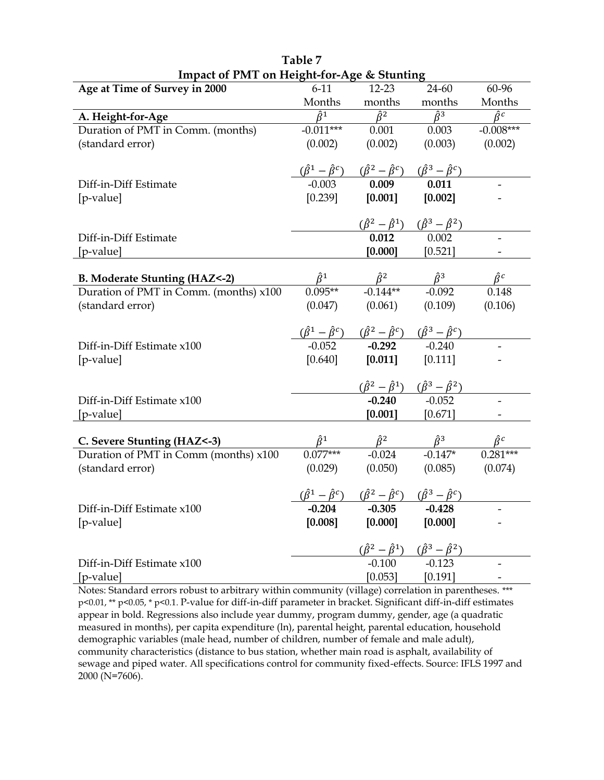| Impact of Tivit on Height-Tor-Age & Stunding |                 |                                                                                                                                                    |                                                                                                                                  |                               |
|----------------------------------------------|-----------------|----------------------------------------------------------------------------------------------------------------------------------------------------|----------------------------------------------------------------------------------------------------------------------------------|-------------------------------|
| Age at Time of Survey in 2000                | $6-11$          | $12 - 23$                                                                                                                                          | 24-60                                                                                                                            | 60-96                         |
|                                              | Months          | months                                                                                                                                             | months                                                                                                                           | Months                        |
| A. Height-for-Age                            | $\hat{\beta}^1$ | $\hat{\beta}^2$                                                                                                                                    | $\hat{\beta}^3$                                                                                                                  | $\hat{\beta}^c$               |
| Duration of PMT in Comm. (months)            | $-0.011***$     | 0.001                                                                                                                                              | 0.003                                                                                                                            | $-0.008***$                   |
| (standard error)                             | (0.002)         | (0.002)                                                                                                                                            | (0.003)                                                                                                                          | (0.002)                       |
|                                              |                 |                                                                                                                                                    |                                                                                                                                  |                               |
|                                              |                 |                                                                                                                                                    |                                                                                                                                  |                               |
| Diff-in-Diff Estimate                        |                 |                                                                                                                                                    |                                                                                                                                  |                               |
| [p-value]                                    |                 | $[0.239]$ $[0.001]$                                                                                                                                | [0.002]                                                                                                                          |                               |
|                                              |                 |                                                                                                                                                    |                                                                                                                                  |                               |
|                                              |                 |                                                                                                                                                    | $\frac{(\hat{\beta}^2 - \hat{\beta}^1) \quad (\hat{\beta}^3 - \hat{\beta}^2)}{0.012}$                                            |                               |
| Diff-in-Diff Estimate                        |                 |                                                                                                                                                    |                                                                                                                                  |                               |
| [p-value]                                    |                 | $[0.000]$ $[0.521]$                                                                                                                                |                                                                                                                                  |                               |
|                                              |                 |                                                                                                                                                    |                                                                                                                                  |                               |
| <b>B. Moderate Stunting (HAZ&lt;-2)</b>      |                 |                                                                                                                                                    | $\hat{\beta}^1$ $\hat{\beta}^2$ $\hat{\beta}^3$<br>0.095** -0.144** -0.092                                                       | $\frac{\hat{\beta}^c}{0.148}$ |
| Duration of PMT in Comm. (months) x100       |                 |                                                                                                                                                    |                                                                                                                                  |                               |
| (standard error)                             |                 |                                                                                                                                                    | $(0.047)$ $(0.061)$ $(0.109)$                                                                                                    | (0.106)                       |
|                                              |                 |                                                                                                                                                    |                                                                                                                                  |                               |
|                                              |                 | $\frac{(\hat{\beta}^1 - \hat{\beta}^c)}{-0.052}$ $\frac{(\hat{\beta}^2 - \hat{\beta}^c)}{-0.292}$ $\frac{(\hat{\beta}^3 - \hat{\beta}^c)}{-0.240}$ |                                                                                                                                  |                               |
| Diff-in-Diff Estimate x100                   |                 |                                                                                                                                                    |                                                                                                                                  |                               |
| [p-value]                                    |                 | $[0.640]$ $[0.011]$ $[0.111]$                                                                                                                      |                                                                                                                                  |                               |
|                                              |                 |                                                                                                                                                    |                                                                                                                                  |                               |
|                                              |                 |                                                                                                                                                    | $\frac{(\hat{\beta}^2 - \hat{\beta}^1)}{-0.240}$ $\frac{(\hat{\beta}^3 - \hat{\beta}^2)}{-0.052}$                                |                               |
| Diff-in-Diff Estimate x100                   |                 |                                                                                                                                                    |                                                                                                                                  |                               |
| [p-value]                                    |                 |                                                                                                                                                    | $[0.001]$ $[0.671]$                                                                                                              |                               |
|                                              |                 |                                                                                                                                                    |                                                                                                                                  |                               |
| C. Severe Stunting (HAZ<-3)                  |                 |                                                                                                                                                    | $\frac{\hat{\beta}^1}{0.077***}$ $\frac{\hat{\beta}^2}{-0.024}$ $\frac{\hat{\beta}^3}{-0.147*}$ $\frac{\hat{\beta}^c}{0.281***}$ |                               |
| Duration of PMT in Comm (months) x100        |                 |                                                                                                                                                    |                                                                                                                                  |                               |
| (standard error)                             | (0.029)         |                                                                                                                                                    | $(0.050)$ $(0.085)$ $(0.074)$                                                                                                    |                               |
|                                              |                 |                                                                                                                                                    |                                                                                                                                  |                               |
|                                              |                 | $\frac{(\hat{\beta}^1 - \hat{\beta}^c)}{0.204}$ $\frac{(\hat{\beta}^2 - \hat{\beta}^c)}{0.305}$ $\frac{(\hat{\beta}^3 - \hat{\beta}^c)}{0.428}$    |                                                                                                                                  |                               |
| Diff-in-Diff Estimate x100                   |                 |                                                                                                                                                    |                                                                                                                                  |                               |
| [p-value]                                    |                 | $[0.008]$ $[0.000]$ $[0.000]$                                                                                                                      |                                                                                                                                  |                               |
|                                              |                 |                                                                                                                                                    |                                                                                                                                  |                               |
|                                              |                 |                                                                                                                                                    | $\frac{(\hat{\beta}^2 - \hat{\beta}^1) \quad (\hat{\beta}^3 - \hat{\beta}^2)}{-0.100}$ -0.123                                    |                               |
| Diff-in-Diff Estimate x100                   |                 |                                                                                                                                                    |                                                                                                                                  |                               |
| [p-value]                                    |                 |                                                                                                                                                    | $[0.053]$ $[0.191]$                                                                                                              |                               |

| Table 7                                    |  |
|--------------------------------------------|--|
| Impact of PMT on Height-for-Age & Stunting |  |

Notes: Standard errors robust to arbitrary within community (village) correlation in parentheses. \*\*\* p<0.01, \*\* p<0.05, \* p<0.1. P-value for diff-in-diff parameter in bracket. Significant diff-in-diff estimates appear in bold. Regressions also include year dummy, program dummy, gender, age (a quadratic measured in months), per capita expenditure (ln), parental height, parental education, household demographic variables (male head, number of children, number of female and male adult), community characteristics (distance to bus station, whether main road is asphalt, availability of sewage and piped water. All specifications control for community fixed-effects. Source: IFLS 1997 and 2000 (N=7606).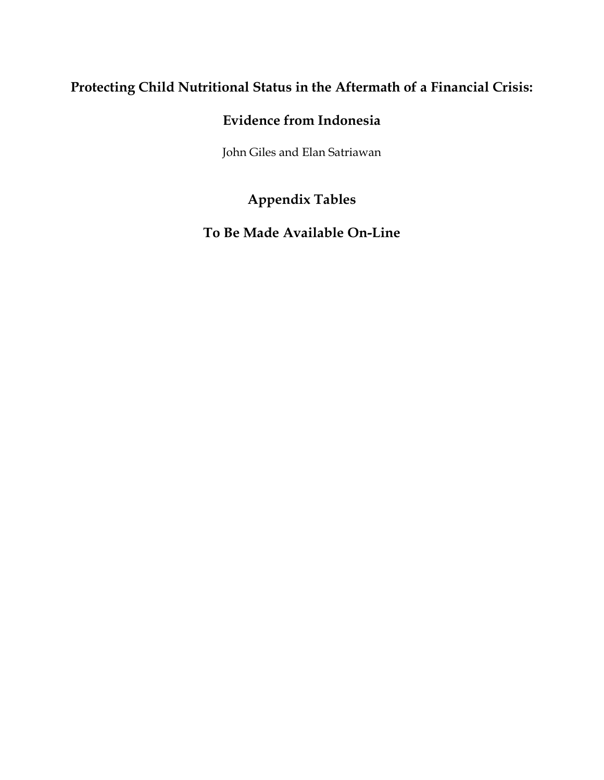# **Protecting Child Nutritional Status in the Aftermath of a Financial Crisis:**

# **Evidence from Indonesia**

John Giles and Elan Satriawan

# **Appendix Tables**

**To Be Made Available On-Line**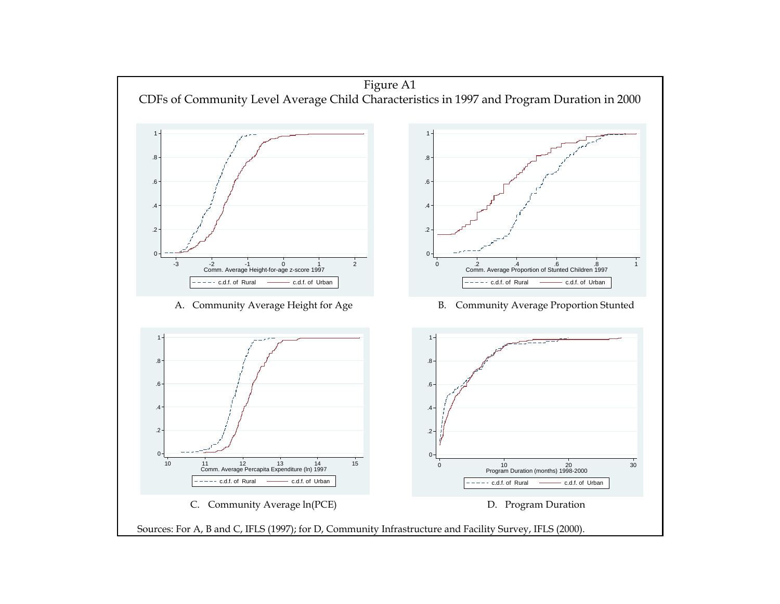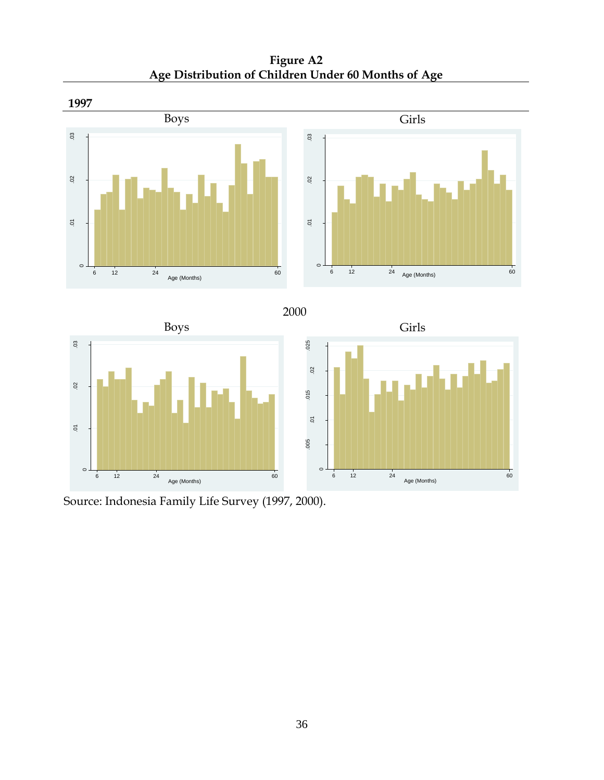**Figure A2 Age Distribution of Children Under 60 Months of Age**









Source: Indonesia Family Life Survey (1997, 2000).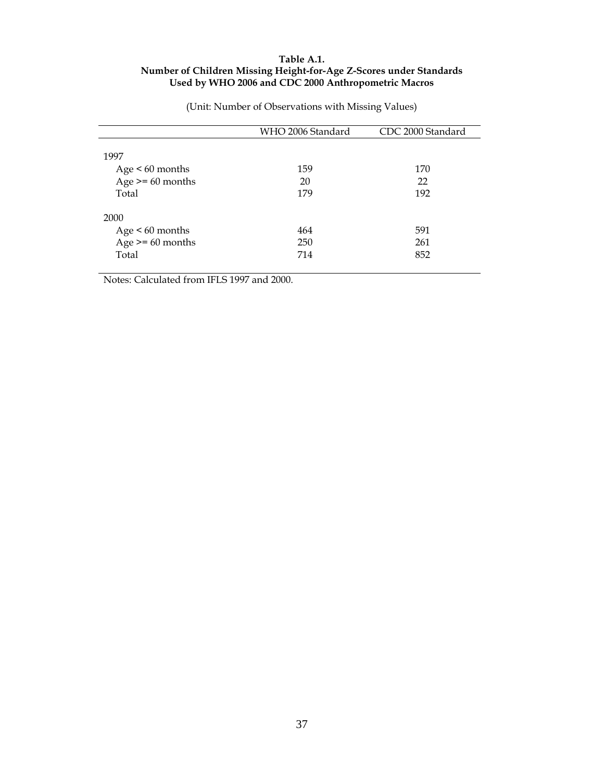### **Table A.1. Number of Children Missing Height-for-Age Z-Scores under Standards Used by WHO 2006 and CDC 2000 Anthropometric Macros**

|                    | WHO 2006 Standard | CDC 2000 Standard |
|--------------------|-------------------|-------------------|
|                    |                   |                   |
| 1997               |                   |                   |
| $Age < 60$ months  | 159               | 170               |
| Age $>= 60$ months | 20                | 22                |
| Total              | 179               | 192               |
|                    |                   |                   |
| 2000               |                   |                   |
| Age $< 60$ months  | 464               | 591               |
| Age $>= 60$ months | 250               | 261               |
| Total              | 714               | 852               |
|                    |                   |                   |

(Unit: Number of Observations with Missing Values)

Notes: Calculated from IFLS 1997 and 2000.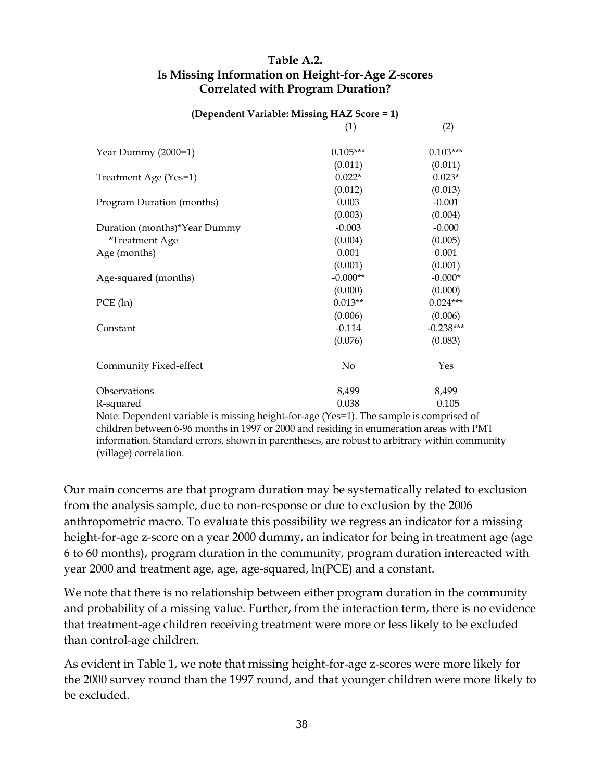### **Table A.2. Is Missing Information on Height-for-Age Z-scores Correlated with Program Duration?**

|                                                                                                                | (Dependent variable, ivitssing $H\Lambda L$ occite $-1$ )<br>(1) | (2)                                |
|----------------------------------------------------------------------------------------------------------------|------------------------------------------------------------------|------------------------------------|
|                                                                                                                |                                                                  |                                    |
| Year Dummy (2000=1)                                                                                            | $0.105***$                                                       | $0.103***$                         |
|                                                                                                                | (0.011)                                                          | (0.011)                            |
| Treatment Age (Yes=1)                                                                                          | $0.022*$                                                         | $0.023*$                           |
|                                                                                                                | (0.012)                                                          | (0.013)                            |
| Program Duration (months)                                                                                      | 0.003                                                            | $-0.001$                           |
|                                                                                                                | (0.003)                                                          | (0.004)                            |
| Duration (months)*Year Dummy                                                                                   | $-0.003$                                                         | $-0.000$                           |
| <i>*Treatment Age</i>                                                                                          | (0.004)                                                          | (0.005)                            |
| Age (months)                                                                                                   | 0.001                                                            | 0.001                              |
|                                                                                                                | (0.001)                                                          | (0.001)                            |
| Age-squared (months)                                                                                           | $-0.000**$                                                       | $-0.000*$                          |
|                                                                                                                | (0.000)                                                          | (0.000)                            |
| PCE (ln)                                                                                                       | $0.013**$                                                        | $0.024***$                         |
|                                                                                                                | (0.006)                                                          | (0.006)                            |
| Constant                                                                                                       | $-0.114$                                                         | $-0.238***$                        |
|                                                                                                                | (0.076)                                                          | (0.083)                            |
| Community Fixed-effect                                                                                         | No                                                               | Yes                                |
| Observations                                                                                                   | 8,499                                                            | 8,499                              |
| R-squared<br>$\mathbf{r}$ and $\mathbf{r}$ are $\mathbf{r}$ and $\mathbf{r}$ are $\mathbf{r}$ and $\mathbf{r}$ | 0.038                                                            | 0.105<br>$\mathbf{1}$ $\mathbf{1}$ |

#### **(Dependent Variable: Missing HAZ Score = 1)**

Note: Dependent variable is missing height-for-age (Yes=1). The sample is comprised of children between 6-96 months in 1997 or 2000 and residing in enumeration areas with PMT information. Standard errors, shown in parentheses, are robust to arbitrary within community (village) correlation.

Our main concerns are that program duration may be systematically related to exclusion from the analysis sample, due to non-response or due to exclusion by the 2006 anthropometric macro. To evaluate this possibility we regress an indicator for a missing height-for-age z-score on a year 2000 dummy, an indicator for being in treatment age (age 6 to 60 months), program duration in the community, program duration intereacted with year 2000 and treatment age, age, age-squared, ln(PCE) and a constant.

We note that there is no relationship between either program duration in the community and probability of a missing value. Further, from the interaction term, there is no evidence that treatment-age children receiving treatment were more or less likely to be excluded than control-age children.

As evident in Table 1, we note that missing height-for-age z-scores were more likely for the 2000 survey round than the 1997 round, and that younger children were more likely to be excluded.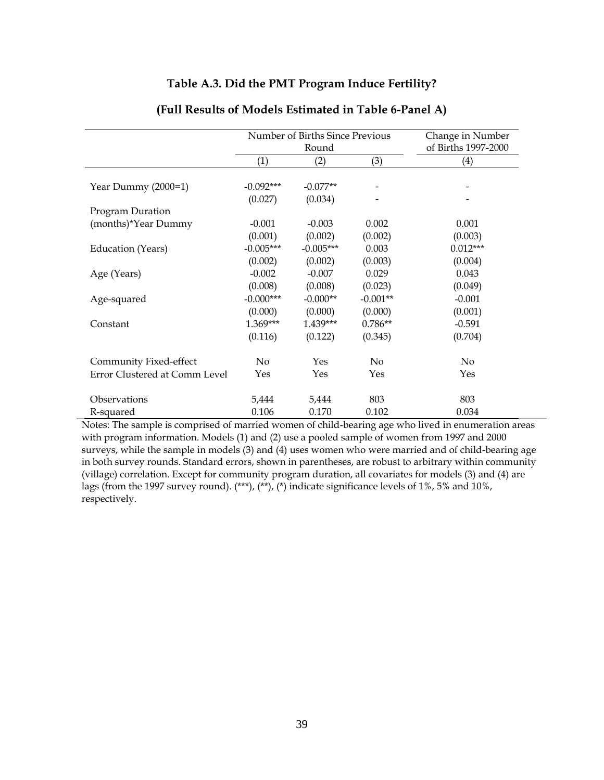### **Table A.3. Did the PMT Program Induce Fertility?**

|                               |                        | Number of Births Since Previous<br>Round |            | Change in Number<br>of Births 1997-2000 |
|-------------------------------|------------------------|------------------------------------------|------------|-----------------------------------------|
|                               | (1)                    | (2)                                      | (3)        | (4)                                     |
|                               |                        |                                          |            |                                         |
| Year Dummy (2000=1)           | $-0.092***$<br>(0.027) | $-0.077**$<br>(0.034)                    |            |                                         |
| Program Duration              |                        |                                          |            |                                         |
| (months)*Year Dummy           | $-0.001$               | $-0.003$                                 | 0.002      | 0.001                                   |
|                               | (0.001)                | (0.002)                                  | (0.002)    | (0.003)                                 |
| Education (Years)             | $-0.005***$            | $-0.005***$                              | 0.003      | $0.012***$                              |
|                               | (0.002)                | (0.002)                                  | (0.003)    | (0.004)                                 |
| Age (Years)                   | $-0.002$               | $-0.007$                                 | 0.029      | 0.043                                   |
|                               | (0.008)                | (0.008)                                  | (0.023)    | (0.049)                                 |
| Age-squared                   | $-0.000***$            | $-0.000**$                               | $-0.001**$ | $-0.001$                                |
|                               | (0.000)                | (0.000)                                  | (0.000)    | (0.001)                                 |
| Constant                      | $1.369***$             | $1.439***$                               | $0.786**$  | $-0.591$                                |
|                               | (0.116)                | (0.122)                                  | (0.345)    | (0.704)                                 |
| Community Fixed-effect        | No                     | Yes                                      | No         | No                                      |
| Error Clustered at Comm Level | Yes                    | Yes                                      | Yes        | Yes                                     |
| Observations                  | 5,444                  | 5,444                                    | 803        | 803                                     |
| R-squared                     | 0.106                  | 0.170                                    | 0.102      | 0.034                                   |

#### **(Full Results of Models Estimated in Table 6-Panel A)**

Notes: The sample is comprised of married women of child-bearing age who lived in enumeration areas with program information. Models (1) and (2) use a pooled sample of women from 1997 and 2000 surveys, while the sample in models (3) and (4) uses women who were married and of child-bearing age in both survey rounds. Standard errors, shown in parentheses, are robust to arbitrary within community (village) correlation. Except for community program duration, all covariates for models (3) and (4) are lags (from the 1997 survey round). (\*\*\*), (\*\*), (\*) indicate significance levels of 1%, 5% and 10%, respectively.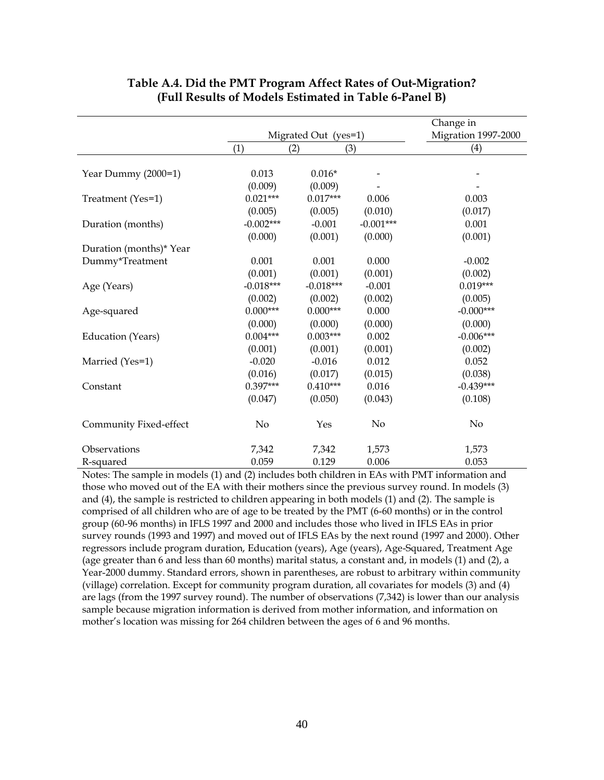|                         |             |                      |             | Change in           |
|-------------------------|-------------|----------------------|-------------|---------------------|
|                         |             | Migrated Out (yes=1) |             | Migration 1997-2000 |
|                         | (1)         | (2)                  | (3)         | (4)                 |
|                         |             |                      |             |                     |
| Year Dummy (2000=1)     | 0.013       | $0.016*$             |             |                     |
|                         | (0.009)     | (0.009)              |             |                     |
| Treatment (Yes=1)       | $0.021***$  | $0.017***$           | 0.006       | 0.003               |
|                         | (0.005)     | (0.005)              | (0.010)     | (0.017)             |
| Duration (months)       | $-0.002***$ | $-0.001$             | $-0.001***$ | 0.001               |
|                         | (0.000)     | (0.001)              | (0.000)     | (0.001)             |
| Duration (months)* Year |             |                      |             |                     |
| Dummy*Treatment         | 0.001       | 0.001                | 0.000       | $-0.002$            |
|                         | (0.001)     | (0.001)              | (0.001)     | (0.002)             |
| Age (Years)             | $-0.018***$ | $-0.018***$          | $-0.001$    | $0.019***$          |
|                         | (0.002)     | (0.002)              | (0.002)     | (0.005)             |
| Age-squared             | $0.000***$  | $0.000***$           | 0.000       | $-0.000***$         |
|                         | (0.000)     | (0.000)              | (0.000)     | (0.000)             |
| Education (Years)       | $0.004***$  | $0.003***$           | 0.002       | $-0.006***$         |
|                         | (0.001)     | (0.001)              | (0.001)     | (0.002)             |
| Married (Yes=1)         | $-0.020$    | $-0.016$             | 0.012       | 0.052               |
|                         | (0.016)     | (0.017)              | (0.015)     | (0.038)             |
| Constant                | $0.397***$  | $0.410***$           | 0.016       | $-0.439***$         |
|                         | (0.047)     | (0.050)              | (0.043)     | (0.108)             |
| Community Fixed-effect  | No          | Yes                  | No          | No                  |
| Observations            | 7,342       | 7,342                | 1,573       | 1,573               |
| R-squared               | 0.059       | 0.129                | 0.006       | 0.053               |

### **Table A.4. Did the PMT Program Affect Rates of Out-Migration? (Full Results of Models Estimated in Table 6-Panel B)**

Notes: The sample in models (1) and (2) includes both children in EAs with PMT information and those who moved out of the EA with their mothers since the previous survey round. In models (3) and (4), the sample is restricted to children appearing in both models (1) and (2). The sample is comprised of all children who are of age to be treated by the PMT (6-60 months) or in the control group (60-96 months) in IFLS 1997 and 2000 and includes those who lived in IFLS EAs in prior survey rounds (1993 and 1997) and moved out of IFLS EAs by the next round (1997 and 2000). Other regressors include program duration, Education (years), Age (years), Age-Squared, Treatment Age (age greater than 6 and less than 60 months) marital status, a constant and, in models (1) and (2), a Year-2000 dummy. Standard errors, shown in parentheses, are robust to arbitrary within community (village) correlation. Except for community program duration, all covariates for models (3) and (4) are lags (from the 1997 survey round). The number of observations (7,342) is lower than our analysis sample because migration information is derived from mother information, and information on mother's location was missing for 264 children between the ages of 6 and 96 months.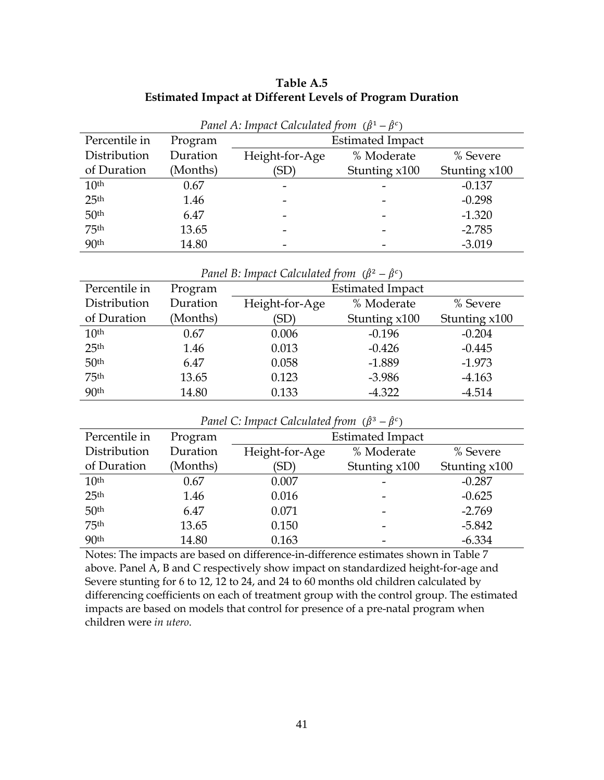### **Table A.5 Estimated Impact at Different Levels of Program Duration**

| Panet A: impact Calculated from $(\beta^2 - \beta^2)$ |          |                          |               |               |  |  |
|-------------------------------------------------------|----------|--------------------------|---------------|---------------|--|--|
| Percentile in                                         | Program  | <b>Estimated Impact</b>  |               |               |  |  |
| Distribution                                          | Duration | Height-for-Age           | % Moderate    | % Severe      |  |  |
| of Duration                                           | (Months) | (SD)                     | Stunting x100 | Stunting x100 |  |  |
| 10 <sup>th</sup>                                      | 0.67     | $\overline{\phantom{0}}$ |               | $-0.137$      |  |  |
| 25 <sup>th</sup>                                      | 1.46     |                          |               | $-0.298$      |  |  |
| 50 <sup>th</sup>                                      | 6.47     |                          |               | $-1.320$      |  |  |
| 75 <sup>th</sup>                                      | 13.65    |                          |               | $-2.785$      |  |  |
| 90 <sup>th</sup>                                      | 14.80    |                          |               | $-3.019$      |  |  |

| Panel A: Impact Calculated from $(\hat{\beta}^1 - \hat{\beta}^c)$ |  |  |  |
|-------------------------------------------------------------------|--|--|--|
|-------------------------------------------------------------------|--|--|--|

*Panel B: Impact Calculated from*  $(\hat{\beta}^2 - \hat{\beta}^c)$ 

| Percentile in    | Program  | <b>Estimated Impact</b> |               |               |  |  |
|------------------|----------|-------------------------|---------------|---------------|--|--|
| Distribution     | Duration | Height-for-Age          | % Moderate    | % Severe      |  |  |
| of Duration      | (Months) | (SD)                    | Stunting x100 | Stunting x100 |  |  |
| 10 <sup>th</sup> | 0.67     | 0.006                   | $-0.196$      | $-0.204$      |  |  |
| 25 <sup>th</sup> | 1.46     | 0.013                   | $-0.426$      | $-0.445$      |  |  |
| 50 <sup>th</sup> | 6.47     | 0.058                   | $-1.889$      | $-1.973$      |  |  |
| 75 <sup>th</sup> | 13.65    | 0.123                   | $-3.986$      | $-4.163$      |  |  |
| 90 <sup>th</sup> | 14.80    | 0.133                   | $-4.322$      | $-4.514$      |  |  |

*Panel C: Impact Calculated from*  $(\hat{\beta}^3 - \hat{\beta}^c)$ 

| Percentile in    | Program  | <b>Estimated Impact</b> |                 |               |  |  |
|------------------|----------|-------------------------|-----------------|---------------|--|--|
| Distribution     | Duration | Height-for-Age          | % Moderate      | % Severe      |  |  |
| of Duration      | (Months) | (SD)                    | Stunting $x100$ | Stunting x100 |  |  |
| 10 <sup>th</sup> | 0.67     | 0.007                   |                 | $-0.287$      |  |  |
| 25 <sup>th</sup> | 1.46     | 0.016                   |                 | $-0.625$      |  |  |
| 50 <sup>th</sup> | 6.47     | 0.071                   |                 | $-2.769$      |  |  |
| 75 <sup>th</sup> | 13.65    | 0.150                   |                 | $-5.842$      |  |  |
| 90 <sup>th</sup> | 14.80    | 0.163                   |                 | $-6.334$      |  |  |

Notes: The impacts are based on difference-in-difference estimates shown in Table 7 above. Panel A, B and C respectively show impact on standardized height-for-age and Severe stunting for 6 to 12, 12 to 24, and 24 to 60 months old children calculated by differencing coefficients on each of treatment group with the control group. The estimated impacts are based on models that control for presence of a pre-natal program when children were *in utero*.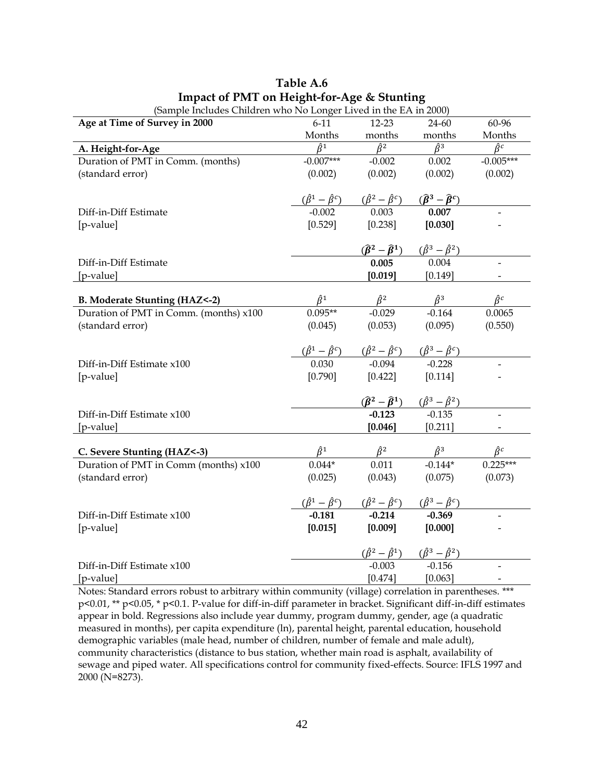| (Sample includes Children who is to Longer Lived in the EA in 2000) |                                 |                                                                                                                                                    |                                                                                                 |                                  |
|---------------------------------------------------------------------|---------------------------------|----------------------------------------------------------------------------------------------------------------------------------------------------|-------------------------------------------------------------------------------------------------|----------------------------------|
| Age at Time of Survey in 2000                                       | $6 - 11$                        | $12 - 23$                                                                                                                                          | 24-60                                                                                           | 60-96                            |
|                                                                     | Months                          | months                                                                                                                                             | months                                                                                          | Months                           |
| A. Height-for-Age                                                   | $\overline{\hat{\beta}^1}$      | $\overline{\hat{\beta}^2}$                                                                                                                         | $\hat{\beta}^3$                                                                                 | $\overline{\hat{\beta}^c}$       |
| Duration of PMT in Comm. (months)                                   | $-0.007***$                     | $-0.002$                                                                                                                                           | 0.002                                                                                           | $-0.005***$                      |
| (standard error)                                                    | (0.002)                         | (0.002)                                                                                                                                            | (0.002)                                                                                         | (0.002)                          |
|                                                                     |                                 |                                                                                                                                                    |                                                                                                 |                                  |
|                                                                     |                                 |                                                                                                                                                    |                                                                                                 |                                  |
| Diff-in-Diff Estimate                                               |                                 | $(\hat{\beta}^1 - \hat{\beta}^c)$ $(\hat{\beta}^2 - \hat{\beta}^c)$ $(\hat{\beta}^3 - \hat{\beta}^c)$<br>-0.002 0.003 0.007                        | 0.007                                                                                           |                                  |
| [p-value]                                                           | [0.529]                         | [0.238]                                                                                                                                            | [0.030]                                                                                         |                                  |
|                                                                     |                                 |                                                                                                                                                    |                                                                                                 |                                  |
|                                                                     |                                 |                                                                                                                                                    | $\frac{(\hat{\beta}^2 - \hat{\beta}^1)}{0.005}$ $\frac{(\hat{\beta}^3 - \hat{\beta}^2)}{0.004}$ |                                  |
| Diff-in-Diff Estimate                                               |                                 |                                                                                                                                                    |                                                                                                 |                                  |
| [p-value]                                                           |                                 | [0.019]                                                                                                                                            | [0.149]                                                                                         |                                  |
|                                                                     |                                 |                                                                                                                                                    |                                                                                                 |                                  |
| B. Moderate Stunting (HAZ<-2)                                       |                                 | $\frac{\hat{\beta}^2}{-0.029}$                                                                                                                     | $\frac{\hat{\beta}^3}{-0.164}$                                                                  | $\hat{\beta}^c$                  |
| Duration of PMT in Comm. (months) x100                              | $\frac{\hat{\beta}^1}{0.095**}$ |                                                                                                                                                    |                                                                                                 | 0.0065                           |
| (standard error)                                                    | (0.045)                         | (0.053)                                                                                                                                            | (0.095)                                                                                         | (0.550)                          |
|                                                                     |                                 |                                                                                                                                                    |                                                                                                 |                                  |
|                                                                     |                                 | $\frac{(\hat{\beta}^1 - \hat{\beta}^c)}{0.030}$ $\frac{(\hat{\beta}^2 - \hat{\beta}^c)}{0.094}$ $\frac{(\hat{\beta}^3 - \hat{\beta}^c)}{0.228}$    |                                                                                                 |                                  |
| Diff-in-Diff Estimate x100                                          |                                 |                                                                                                                                                    |                                                                                                 |                                  |
| [p-value]                                                           | $[0.790]$                       | [0.422]                                                                                                                                            | [0.114]                                                                                         |                                  |
|                                                                     |                                 |                                                                                                                                                    |                                                                                                 |                                  |
|                                                                     |                                 |                                                                                                                                                    | $(\widehat{\beta}^2 - \widehat{\beta}^1)$ $(\widehat{\beta}^3 - \widehat{\beta}^2)$             |                                  |
| Diff-in-Diff Estimate x100                                          |                                 | $-0.123$                                                                                                                                           | $-0.135$                                                                                        |                                  |
| [p-value]                                                           |                                 | [0.046]                                                                                                                                            | [0.211]                                                                                         |                                  |
|                                                                     |                                 |                                                                                                                                                    |                                                                                                 |                                  |
| C. Severe Stunting (HAZ<-3)                                         | $\frac{\hat{\beta}^1}{0.044^*}$ |                                                                                                                                                    |                                                                                                 | $\frac{\hat{\beta}^c}{0.225***}$ |
| Duration of PMT in Comm (months) x100                               |                                 |                                                                                                                                                    | $\frac{\hat{\beta}^2}{0.011}$ $\frac{\hat{\beta}^3}{-0.144^*}$                                  |                                  |
| (standard error)                                                    | (0.025)                         | (0.043)                                                                                                                                            | (0.075)                                                                                         | (0.073)                          |
|                                                                     |                                 |                                                                                                                                                    |                                                                                                 |                                  |
|                                                                     |                                 | $\frac{(\hat{\beta}^1 - \hat{\beta}^c)}{-0.181}$ $\frac{(\hat{\beta}^2 - \hat{\beta}^c)}{-0.214}$ $\frac{(\hat{\beta}^3 - \hat{\beta}^c)}{-0.369}$ |                                                                                                 |                                  |
| Diff-in-Diff Estimate x100                                          |                                 |                                                                                                                                                    |                                                                                                 |                                  |
| [p-value]                                                           | [0.015]                         | [0.009]                                                                                                                                            | [0.000]                                                                                         |                                  |
|                                                                     |                                 |                                                                                                                                                    |                                                                                                 |                                  |
|                                                                     |                                 |                                                                                                                                                    | $(\hat{\beta}^2 - \hat{\beta}^1)$ $(\hat{\beta}^3 - \hat{\beta}^2)$                             |                                  |
| Diff-in-Diff Estimate x100                                          |                                 | $-0.003$                                                                                                                                           | $-0.156$                                                                                        |                                  |
| [p-value]                                                           |                                 | [0.474]                                                                                                                                            | [0.063]                                                                                         |                                  |

**Table A.6 Impact of PMT on Height-for-Age & Stunting** (Sample Includes Children who No Longer Lived in the EA in 2000)

Notes: Standard errors robust to arbitrary within community (village) correlation in parentheses. \*\*\* p<0.01, \*\* p<0.05, \* p<0.1. P-value for diff-in-diff parameter in bracket. Significant diff-in-diff estimates appear in bold. Regressions also include year dummy, program dummy, gender, age (a quadratic measured in months), per capita expenditure (ln), parental height, parental education, household demographic variables (male head, number of children, number of female and male adult), community characteristics (distance to bus station, whether main road is asphalt, availability of sewage and piped water. All specifications control for community fixed-effects. Source: IFLS 1997 and 2000 (N=8273).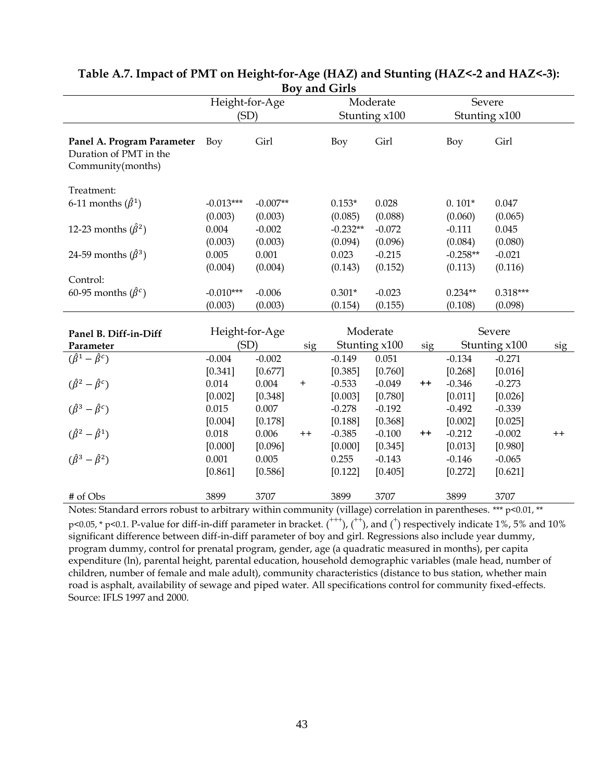| DUV<br>and Girls<br>Height-for-Age<br>Moderate                            |                |            |           |            |               |                 |               |               |         |
|---------------------------------------------------------------------------|----------------|------------|-----------|------------|---------------|-----------------|---------------|---------------|---------|
|                                                                           |                |            |           |            |               | Severe          |               |               |         |
|                                                                           | (SD)           |            |           |            | Stunting x100 |                 | Stunting x100 |               |         |
| Panel A. Program Parameter<br>Duration of PMT in the<br>Community(months) | Boy            | Girl       |           | <b>Boy</b> | Girl          |                 | Boy           | Girl          |         |
| Treatment:                                                                |                |            |           |            |               |                 |               |               |         |
| 6-11 months $(\hat{\beta}^1)$                                             | $-0.013***$    | $-0.007**$ |           | $0.153*$   | 0.028         |                 | $0.101*$      | 0.047         |         |
|                                                                           | (0.003)        | (0.003)    |           | (0.085)    | (0.088)       |                 | (0.060)       | (0.065)       |         |
| 12-23 months $(\hat{\beta}^2)$                                            | 0.004          | $-0.002$   |           | $-0.232**$ | $-0.072$      |                 | $-0.111$      | 0.045         |         |
|                                                                           | (0.003)        | (0.003)    |           | (0.094)    | (0.096)       |                 | (0.084)       | (0.080)       |         |
| 24-59 months $(\hat{\beta}^3)$                                            | 0.005          | 0.001      |           | 0.023      | $-0.215$      |                 | $-0.258**$    | $-0.021$      |         |
|                                                                           | (0.004)        | (0.004)    |           | (0.143)    | (0.152)       |                 | (0.113)       | (0.116)       |         |
| Control:                                                                  |                |            |           |            |               |                 |               |               |         |
| 60-95 months $(\hat{\beta}^c)$                                            | $-0.010***$    | $-0.006$   |           | $0.301*$   | $-0.023$      |                 | $0.234**$     | $0.318***$    |         |
|                                                                           | (0.003)        | (0.003)    |           | (0.154)    | (0.155)       |                 | (0.108)       | (0.098)       |         |
| Panel B. Diff-in-Diff                                                     | Height-for-Age |            |           |            | Moderate      |                 |               | Severe        |         |
| Parameter                                                                 | (SD)           |            | sig       |            | Stunting x100 | sig             |               | Stunting x100 | sig     |
| $(\hat{\beta}^1 - \hat{\beta}^c)$                                         | $-0.004$       | $-0.002$   |           | $-0.149$   | 0.051         |                 | $-0.134$      | $-0.271$      |         |
|                                                                           | [0.341]        | [0.677]    |           | [0.385]    | [0.760]       |                 | [0.268]       | [0.016]       |         |
| $(\hat{\beta}^2 - \hat{\beta}^c)$                                         | 0.014          | 0.004      | $\ddot{}$ | $-0.533$   | $-0.049$      | $^{\mathrm{+}}$ | $-0.346$      | $-0.273$      |         |
|                                                                           | [0.002]        | [0.348]    |           | [0.003]    | [0.780]       |                 | [0.011]       | [0.026]       |         |
| $(\hat{\beta}^3 - \hat{\beta}^c)$                                         | 0.015          | 0.007      |           | $-0.278$   | $-0.192$      |                 | $-0.492$      | $-0.339$      |         |
|                                                                           | [0.004]        | [0.178]    |           | [0.188]    | [0.368]       |                 | [0.002]       | [0.025]       |         |
| $(\hat{\beta}^2 - \hat{\beta}^1)$                                         | 0.018          | 0.006      | $^{++}$   | $-0.385$   | $-0.100$      | $^{\mathrm{+}}$ | $-0.212$      | $-0.002$      | $^{++}$ |
|                                                                           | [0.000]        | [0.096]    |           | [0.000]    | [0.345]       |                 | [0.013]       | [0.980]       |         |
| $(\hat{\beta}^3 - \hat{\beta}^2)$                                         | 0.001          | 0.005      |           | 0.255      | $-0.143$      |                 | $-0.146$      | $-0.065$      |         |
|                                                                           | [0.861]        | [0.586]    |           | [0.122]    | [0.405]       |                 | [0.272]       | [0.621]       |         |
| # of Obs                                                                  | 3899           | 3707       |           | 3899       | 3707          |                 | 3899          | 3707          |         |

### **Table A.7. Impact of PMT on Height-for-Age (HAZ) and Stunting (HAZ<-2 and HAZ<-3): Boy and Girls**

Notes: Standard errors robust to arbitrary within community (village) correlation in parentheses. \*\*\* p<0.01, \*\*  $p$ <0.05, \* p<0.1. P-value for diff-in-diff parameter in bracket.  $($ <sup>+++</sup>),  $($ <sup>++</sup>), and  $($ <sup>+</sup>) respectively indicate 1%, 5% and 10% significant difference between diff-in-diff parameter of boy and girl. Regressions also include year dummy, program dummy, control for prenatal program, gender, age (a quadratic measured in months), per capita expenditure (ln), parental height, parental education, household demographic variables (male head, number of children, number of female and male adult), community characteristics (distance to bus station, whether main road is asphalt, availability of sewage and piped water. All specifications control for community fixed-effects. Source: IFLS 1997 and 2000.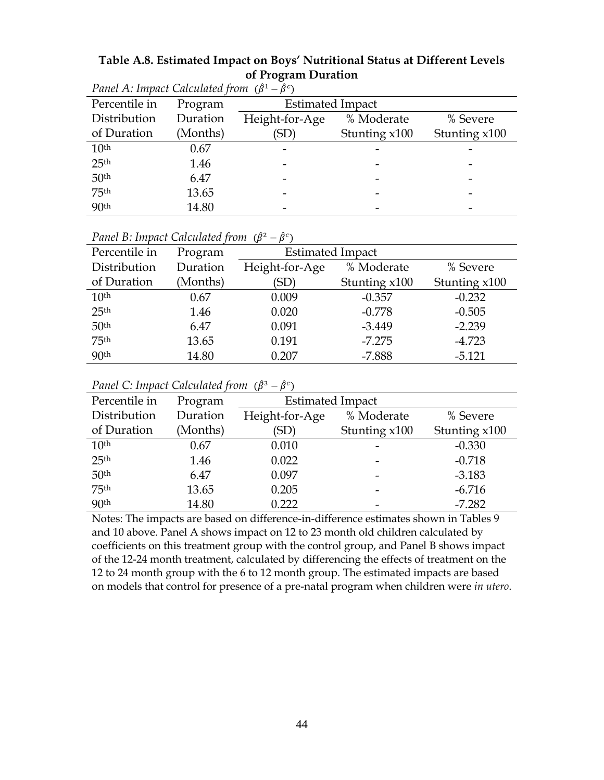| Table A.8. Estimated Impact on Boys' Nutritional Status at Different Levels |
|-----------------------------------------------------------------------------|
| of Program Duration                                                         |

| $\Gamma$ unct $\Gamma$ . Impact Calculated from $(p - p)$ |          |                         |               |               |  |
|-----------------------------------------------------------|----------|-------------------------|---------------|---------------|--|
| Percentile in                                             | Program  | <b>Estimated Impact</b> |               |               |  |
| Distribution                                              | Duration | Height-for-Age          | % Moderate    | % Severe      |  |
| of Duration                                               | (Months) | (SD)                    | Stunting x100 | Stunting x100 |  |
| 10 <sup>th</sup>                                          | 0.67     |                         |               |               |  |
| 25 <sup>th</sup>                                          | 1.46     |                         |               |               |  |
| 50 <sup>th</sup>                                          | 6.47     |                         |               |               |  |
| 75 <sup>th</sup>                                          | 13.65    |                         |               |               |  |
| 90 <sup>th</sup>                                          | 14.80    |                         |               |               |  |

*Panel A: Impact Calculated from*  $(\hat{\beta}^1 - \hat{\beta}^c)$ 

| Panel B: Impact Calculated from $(\hat{\beta}^2 - \hat{\beta}^c)$ |  |  |  |
|-------------------------------------------------------------------|--|--|--|
|                                                                   |  |  |  |

| Percentile in    | Program  | <b>Estimated Impact</b> |               |               |
|------------------|----------|-------------------------|---------------|---------------|
| Distribution     | Duration | Height-for-Age          | % Moderate    | % Severe      |
| of Duration      | (Months) | (SD)                    | Stunting x100 | Stunting x100 |
| 10 <sup>th</sup> | 0.67     | 0.009                   | $-0.357$      | $-0.232$      |
| 25 <sup>th</sup> | 1.46     | 0.020                   | $-0.778$      | $-0.505$      |
| 50 <sup>th</sup> | 6.47     | 0.091                   | $-3.449$      | $-2.239$      |
| 75 <sup>th</sup> | 13.65    | 0.191                   | $-7.275$      | $-4.723$      |
| 90 <sup>th</sup> | 14.80    | 0.207                   | $-7.888$      | $-5.121$      |

*Panel C: Impact Calculated from*  $(\hat{\beta}^3 - \hat{\beta}^c)$ 

| Percentile in    | Program  |                | <b>Estimated Impact</b> |               |  |
|------------------|----------|----------------|-------------------------|---------------|--|
| Distribution     | Duration | Height-for-Age | % Moderate              | % Severe      |  |
| of Duration      | (Months) | 'SD)           | Stunting x100           | Stunting x100 |  |
| 10 <sup>th</sup> | 0.67     | 0.010          |                         | $-0.330$      |  |
| 25 <sup>th</sup> | 1.46     | 0.022          |                         | $-0.718$      |  |
| 50 <sup>th</sup> | 6.47     | 0.097          | -                       | $-3.183$      |  |
| 75 <sup>th</sup> | 13.65    | 0.205          |                         | $-6.716$      |  |
| 90 <sup>th</sup> | 14.80    | 0.222          |                         | $-7.282$      |  |
|                  |          |                |                         |               |  |

Notes: The impacts are based on difference-in-difference estimates shown in Tables 9 and 10 above. Panel A shows impact on 12 to 23 month old children calculated by coefficients on this treatment group with the control group, and Panel B shows impact of the 12-24 month treatment, calculated by differencing the effects of treatment on the 12 to 24 month group with the 6 to 12 month group. The estimated impacts are based on models that control for presence of a pre-natal program when children were *in utero*.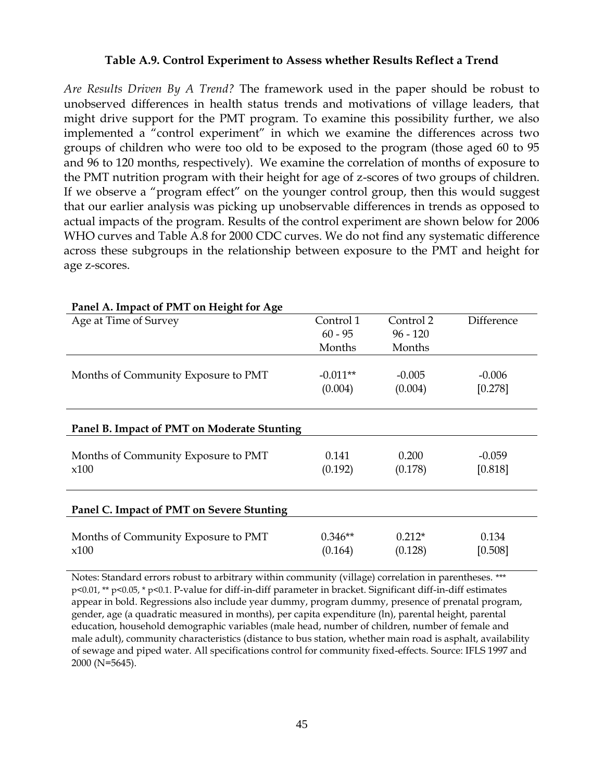### **Table A.9. Control Experiment to Assess whether Results Reflect a Trend**

*Are Results Driven By A Trend?* The framework used in the paper should be robust to unobserved differences in health status trends and motivations of village leaders, that might drive support for the PMT program. To examine this possibility further, we also implemented a "control experiment" in which we examine the differences across two groups of children who were too old to be exposed to the program (those aged 60 to 95 and 96 to 120 months, respectively). We examine the correlation of months of exposure to the PMT nutrition program with their height for age of z-scores of two groups of children. If we observe a "program effect" on the younger control group, then this would suggest that our earlier analysis was picking up unobservable differences in trends as opposed to actual impacts of the program. Results of the control experiment are shown below for 2006 WHO curves and Table A.8 for 2000 CDC curves. We do not find any systematic difference across these subgroups in the relationship between exposure to the PMT and height for age z-scores.

| 1 and 11, impact of 1 m 1 on Height 101 12gc |            |            |            |
|----------------------------------------------|------------|------------|------------|
| Age at Time of Survey                        | Control 1  | Control 2  | Difference |
|                                              | $60 - 95$  | $96 - 120$ |            |
|                                              | Months     | Months     |            |
|                                              |            |            |            |
| Months of Community Exposure to PMT          | $-0.011**$ | $-0.005$   | $-0.006$   |
|                                              | (0.004)    | (0.004)    | [0.278]    |
|                                              |            |            |            |
|                                              |            |            |            |
| Panel B. Impact of PMT on Moderate Stunting  |            |            |            |
|                                              |            |            |            |
| Months of Community Exposure to PMT          | 0.141      | 0.200      | $-0.059$   |
| x100                                         | (0.192)    | (0.178)    | [0.818]    |
|                                              |            |            |            |
|                                              |            |            |            |
| Panel C. Impact of PMT on Severe Stunting    |            |            |            |
|                                              |            |            |            |
| Months of Community Exposure to PMT          | $0.346**$  | $0.212*$   | 0.134      |
| x100                                         | (0.164)    | (0.128)    | [0.508]    |
|                                              |            |            |            |

### **Panel A. Impact of PMT on Height for Age**

Notes: Standard errors robust to arbitrary within community (village) correlation in parentheses. \*\*\* p<0.01, \*\* p<0.05, \* p<0.1. P-value for diff-in-diff parameter in bracket. Significant diff-in-diff estimates appear in bold. Regressions also include year dummy, program dummy, presence of prenatal program, gender, age (a quadratic measured in months), per capita expenditure (ln), parental height, parental education, household demographic variables (male head, number of children, number of female and male adult), community characteristics (distance to bus station, whether main road is asphalt, availability of sewage and piped water. All specifications control for community fixed-effects. Source: IFLS 1997 and 2000 (N=5645).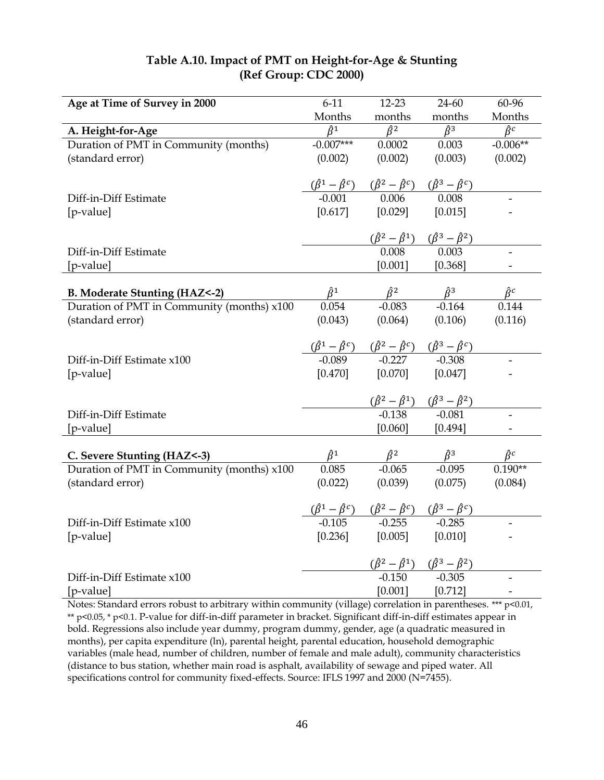| Table A.10. Impact of PMT on Height-for-Age & Stunting |
|--------------------------------------------------------|
| (Ref Group: CDC 2000)                                  |

| Age at Time of Survey in 2000              | $6 - 11$                   | $12 - 23$                                                                                                                                          | 24-60                                                                                 | 60-96                           |
|--------------------------------------------|----------------------------|----------------------------------------------------------------------------------------------------------------------------------------------------|---------------------------------------------------------------------------------------|---------------------------------|
|                                            | Months                     | months                                                                                                                                             | months                                                                                | Months                          |
| A. Height-for-Age                          | $\overline{\hat{\beta}^1}$ | $\overline{\hat{\beta}^2}$                                                                                                                         | $\hat{\beta}^3$                                                                       | $\hat{\beta}^c$                 |
| Duration of PMT in Community (months)      | $-0.007***$                | 0.0002                                                                                                                                             | 0.003                                                                                 | $-0.006**$                      |
| (standard error)                           | (0.002)                    | (0.002)                                                                                                                                            | (0.003)                                                                               | (0.002)                         |
|                                            |                            |                                                                                                                                                    |                                                                                       |                                 |
|                                            |                            | $\frac{(\hat{\beta}^1 - \hat{\beta}^c)}{0.001}$ $\frac{(\hat{\beta}^2 - \hat{\beta}^c)}{0.006}$ $\frac{(\hat{\beta}^3 - \hat{\beta}^c)}{0.008}$    |                                                                                       |                                 |
| Diff-in-Diff Estimate                      |                            |                                                                                                                                                    |                                                                                       |                                 |
| [p-value]                                  | [0.617]                    | [0.029]                                                                                                                                            | [0.015]                                                                               |                                 |
|                                            |                            |                                                                                                                                                    |                                                                                       |                                 |
|                                            |                            |                                                                                                                                                    | $\frac{(\hat{\beta}^2 - \hat{\beta}^1) \quad (\hat{\beta}^3 - \hat{\beta}^2)}{0.008}$ |                                 |
| Diff-in-Diff Estimate                      |                            |                                                                                                                                                    |                                                                                       |                                 |
| [p-value]                                  |                            | [0.001]                                                                                                                                            | [0.368]                                                                               |                                 |
|                                            |                            |                                                                                                                                                    |                                                                                       |                                 |
| <b>B. Moderate Stunting (HAZ&lt;-2)</b>    |                            |                                                                                                                                                    | $\hat{\beta}^1$ $\hat{\beta}^2$ $\hat{\beta}^3$<br>0.054 -0.083 -0.164                | $\hat{\beta}^c$                 |
| Duration of PMT in Community (months) x100 |                            |                                                                                                                                                    |                                                                                       | 0.144                           |
| (standard error)                           | (0.043)                    | (0.064)                                                                                                                                            | (0.106)                                                                               | (0.116)                         |
|                                            |                            |                                                                                                                                                    |                                                                                       |                                 |
|                                            |                            | $\frac{(\hat{\beta}^1 - \hat{\beta}^c)}{-0.089}$ $\frac{(\hat{\beta}^2 - \hat{\beta}^c)}{-0.227}$ $\frac{(\hat{\beta}^3 - \hat{\beta}^c)}{-0.308}$ |                                                                                       |                                 |
| Diff-in-Diff Estimate x100                 |                            |                                                                                                                                                    |                                                                                       |                                 |
| [p-value]                                  | [0.470]                    | [0.070]                                                                                                                                            | [0.047]                                                                               |                                 |
|                                            |                            |                                                                                                                                                    |                                                                                       |                                 |
|                                            |                            | $(\hat{\beta}^2 - \hat{\beta}^1)$ $(\hat{\beta}^3 - \hat{\beta}^2)$<br>-0.138 -0.081                                                               |                                                                                       |                                 |
| Diff-in-Diff Estimate                      |                            |                                                                                                                                                    |                                                                                       |                                 |
| [p-value]                                  |                            | [0.060]                                                                                                                                            | [0.494]                                                                               |                                 |
|                                            |                            |                                                                                                                                                    |                                                                                       |                                 |
| C. Severe Stunting (HAZ<-3)                |                            |                                                                                                                                                    | $\hat{\beta}^1$ $\hat{\beta}^2$ $\hat{\beta}^3$<br>0.085 -0.065 -0.095                | $\frac{\hat{\beta}^c}{0.190**}$ |
| Duration of PMT in Community (months) x100 |                            |                                                                                                                                                    |                                                                                       |                                 |
| (standard error)                           | (0.022)                    | (0.039)                                                                                                                                            | (0.075)                                                                               | (0.084)                         |
|                                            |                            |                                                                                                                                                    |                                                                                       |                                 |
|                                            |                            | $(\hat{\beta}^1 - \hat{\beta}^c)$ $(\hat{\beta}^2 - \hat{\beta}^c)$ $(\hat{\beta}^3 - \hat{\beta}^c)$<br>-0.105 -0.255 -0.285                      |                                                                                       |                                 |
| Diff-in-Diff Estimate x100                 |                            |                                                                                                                                                    |                                                                                       |                                 |
| [p-value]                                  | [0.236]                    | [0.005]                                                                                                                                            | [0.010]                                                                               |                                 |
|                                            |                            |                                                                                                                                                    |                                                                                       |                                 |
|                                            |                            |                                                                                                                                                    | $(\hat{\beta}^2 - \hat{\beta}^1)$ $(\hat{\beta}^3 - \hat{\beta}^2)$<br>-0.150 -0.305  |                                 |
| Diff-in-Diff Estimate x100                 |                            |                                                                                                                                                    |                                                                                       |                                 |
| [p-value]                                  |                            | [0.001]                                                                                                                                            | [0.712]                                                                               |                                 |

Notes: Standard errors robust to arbitrary within community (village) correlation in parentheses. \*\*\* p<0.01, \*\* p<0.05, \* p<0.1. P-value for diff-in-diff parameter in bracket. Significant diff-in-diff estimates appear in bold. Regressions also include year dummy, program dummy, gender, age (a quadratic measured in months), per capita expenditure (ln), parental height, parental education, household demographic variables (male head, number of children, number of female and male adult), community characteristics (distance to bus station, whether main road is asphalt, availability of sewage and piped water. All specifications control for community fixed-effects. Source: IFLS 1997 and 2000 (N=7455).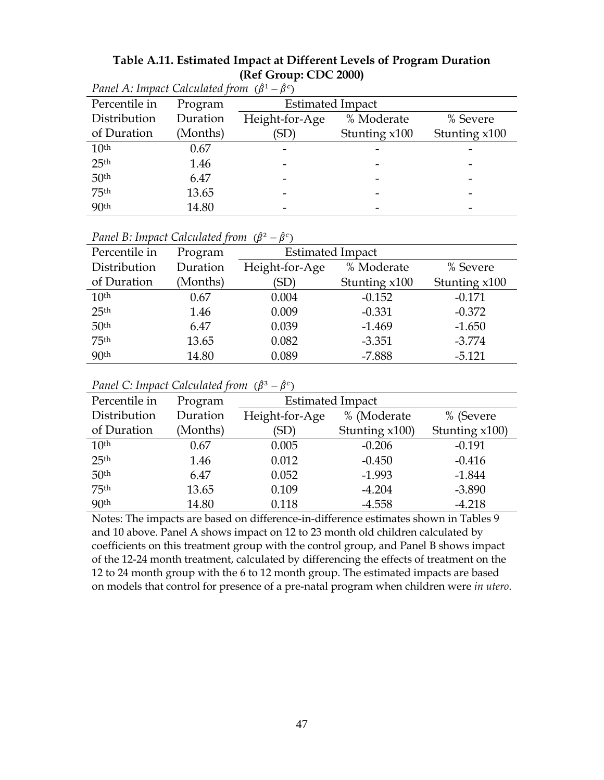| Table A.11. Estimated Impact at Different Levels of Program Duration |
|----------------------------------------------------------------------|
| (Ref Group: CDC 2000)                                                |

| $\Gamma$ unct $\Gamma$ . Impact Calculated from $(p - p)$ |          |                         |                 |               |  |  |  |  |
|-----------------------------------------------------------|----------|-------------------------|-----------------|---------------|--|--|--|--|
| Percentile in                                             | Program  | <b>Estimated Impact</b> |                 |               |  |  |  |  |
| Distribution                                              | Duration | Height-for-Age          | % Moderate      | % Severe      |  |  |  |  |
| of Duration                                               | (Months) | (SD)                    | Stunting $x100$ | Stunting x100 |  |  |  |  |
| 10 <sup>th</sup>                                          | 0.67     |                         |                 |               |  |  |  |  |
| 25 <sup>th</sup>                                          | 1.46     |                         |                 |               |  |  |  |  |
| 50 <sup>th</sup>                                          | 6.47     |                         |                 |               |  |  |  |  |
| 75 <sup>th</sup>                                          | 13.65    |                         |                 |               |  |  |  |  |
| 90 <sup>th</sup>                                          | 14.80    |                         |                 |               |  |  |  |  |

| Panel A: Impact Calculated from $(\hat{\beta}^1 - \hat{\beta}^c)$ |  |
|-------------------------------------------------------------------|--|
|-------------------------------------------------------------------|--|

| Percentile in    | Program  | <b>Estimated Impact</b> |               |               |  |  |
|------------------|----------|-------------------------|---------------|---------------|--|--|
| Distribution     | Duration | Height-for-Age          | % Moderate    | % Severe      |  |  |
| of Duration      | (Months) | (SD`                    | Stunting x100 | Stunting x100 |  |  |
| 10 <sup>th</sup> | 0.67     | 0.004                   | $-0.152$      | $-0.171$      |  |  |
| 25 <sup>th</sup> | 1.46     | 0.009                   | $-0.331$      | $-0.372$      |  |  |
| 50 <sup>th</sup> | 6.47     | 0.039                   | $-1.469$      | $-1.650$      |  |  |
| 75 <sup>th</sup> | 13.65    | 0.082                   | $-3.351$      | $-3.774$      |  |  |

90th 14.80 0.089 -7.888 -5.121

*Panel B: Impact Calculated from*  $(\hat{\beta}^2 - \hat{\beta}^c)$ 

| Panel C: Impact Calculated from $(\hat{\beta}^3 - \hat{\beta}^c)$ |  |  |  |  |  |
|-------------------------------------------------------------------|--|--|--|--|--|
|-------------------------------------------------------------------|--|--|--|--|--|

| Percentile in    | Program  | <b>Estimated Impact</b> |                |                |  |  |
|------------------|----------|-------------------------|----------------|----------------|--|--|
| Distribution     | Duration | Height-for-Age          | % (Moderate    | % (Severe      |  |  |
| of Duration      | (Months) | 'SD)                    | Stunting x100) | Stunting x100) |  |  |
| 10 <sup>th</sup> | 0.67     | 0.005                   | $-0.206$       | $-0.191$       |  |  |
| 25 <sup>th</sup> | 1.46     | 0.012                   | $-0.450$       | $-0.416$       |  |  |
| 50 <sup>th</sup> | 6.47     | 0.052                   | $-1.993$       | $-1.844$       |  |  |
| 75 <sup>th</sup> | 13.65    | 0.109                   | $-4.204$       | $-3.890$       |  |  |
| 90 <sup>th</sup> | 14.80    | 0.118                   | $-4.558$       | $-4.218$       |  |  |

Notes: The impacts are based on difference-in-difference estimates shown in Tables 9 and 10 above. Panel A shows impact on 12 to 23 month old children calculated by coefficients on this treatment group with the control group, and Panel B shows impact of the 12-24 month treatment, calculated by differencing the effects of treatment on the 12 to 24 month group with the 6 to 12 month group. The estimated impacts are based on models that control for presence of a pre-natal program when children were *in utero*.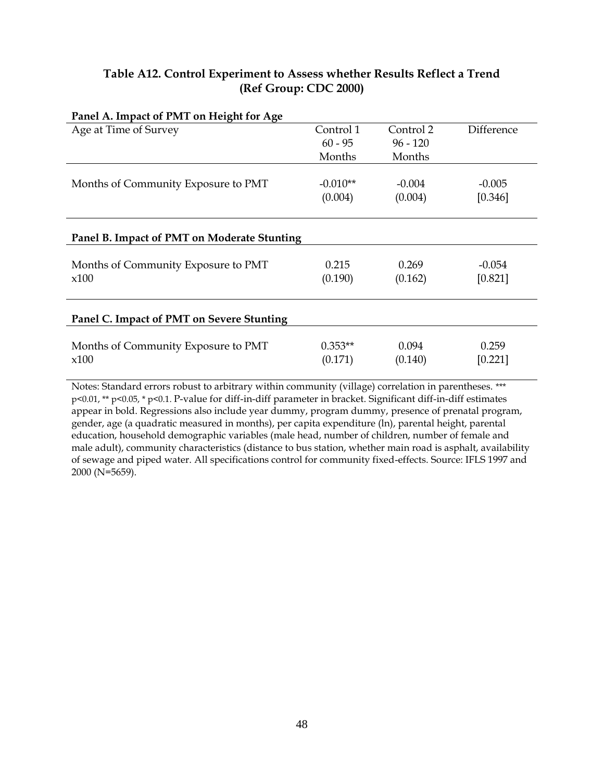### **Table A12. Control Experiment to Assess whether Results Reflect a Trend (Ref Group: CDC 2000)**

| Panel A. Impact of PMT on Height for Age    |            |            |            |
|---------------------------------------------|------------|------------|------------|
| Age at Time of Survey                       | Control 1  | Control 2  | Difference |
|                                             | $60 - 95$  | $96 - 120$ |            |
|                                             | Months     | Months     |            |
|                                             |            |            |            |
| Months of Community Exposure to PMT         | $-0.010**$ | $-0.004$   | $-0.005$   |
|                                             | (0.004)    | (0.004)    | [0.346]    |
|                                             |            |            |            |
|                                             |            |            |            |
| Panel B. Impact of PMT on Moderate Stunting |            |            |            |
|                                             |            |            |            |
| Months of Community Exposure to PMT         | 0.215      | 0.269      | $-0.054$   |
| x100                                        | (0.190)    | (0.162)    | [0.821]    |
|                                             |            |            |            |
|                                             |            |            |            |
| Panel C. Impact of PMT on Severe Stunting   |            |            |            |
|                                             |            |            |            |
| Months of Community Exposure to PMT         | $0.353**$  | 0.094      | 0.259      |
| x100                                        | (0.171)    | (0.140)    | [0.221]    |
|                                             |            |            |            |

# Notes: Standard errors robust to arbitrary within community (village) correlation in parentheses. \*\*\* p<0.01, \*\* p<0.05, \* p<0.1. P-value for diff-in-diff parameter in bracket. Significant diff-in-diff estimates appear in bold. Regressions also include year dummy, program dummy, presence of prenatal program, gender, age (a quadratic measured in months), per capita expenditure (ln), parental height, parental

education, household demographic variables (male head, number of children, number of female and male adult), community characteristics (distance to bus station, whether main road is asphalt, availability of sewage and piped water. All specifications control for community fixed-effects. Source: IFLS 1997 and 2000 (N=5659).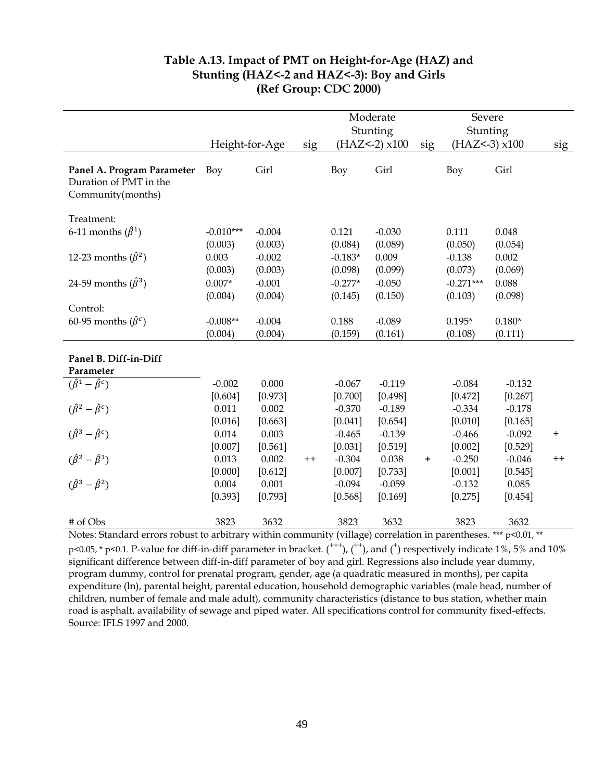|                                                                           |                |          |         |           | Moderate              |           | Severe            |          |           |
|---------------------------------------------------------------------------|----------------|----------|---------|-----------|-----------------------|-----------|-------------------|----------|-----------|
|                                                                           |                |          |         |           | Stunting              |           | Stunting          |          |           |
|                                                                           | Height-for-Age |          | sig     |           | $(HAZ<-2) \times 100$ | sig       | $(HAZ<-3)$ $x100$ |          | sig       |
| Panel A. Program Parameter<br>Duration of PMT in the<br>Community(months) | Boy            | Girl     |         | Boy       | Girl                  |           | Boy               | Girl     |           |
| Treatment:                                                                |                |          |         |           |                       |           |                   |          |           |
| 6-11 months $(\hat{\beta}^1)$                                             | $-0.010***$    | $-0.004$ |         | 0.121     | $-0.030$              |           | 0.111             | 0.048    |           |
|                                                                           | (0.003)        | (0.003)  |         | (0.084)   | (0.089)               |           | (0.050)           | (0.054)  |           |
| 12-23 months $(\hat{\beta}^2)$                                            | 0.003          | $-0.002$ |         | $-0.183*$ | 0.009                 |           | $-0.138$          | 0.002    |           |
|                                                                           | (0.003)        | (0.003)  |         | (0.098)   | (0.099)               |           | (0.073)           | (0.069)  |           |
| 24-59 months $(\hat{\beta}^3)$                                            | $0.007*$       | $-0.001$ |         | $-0.277*$ | $-0.050$              |           | $-0.271***$       | 0.088    |           |
|                                                                           | (0.004)        | (0.004)  |         | (0.145)   | (0.150)               |           | (0.103)           | (0.098)  |           |
| Control:                                                                  |                |          |         |           |                       |           |                   |          |           |
| 60-95 months $(\hat{\beta}^c)$                                            | $-0.008**$     | $-0.004$ |         | 0.188     | $-0.089$              |           | $0.195*$          | $0.180*$ |           |
|                                                                           | (0.004)        | (0.004)  |         | (0.159)   | (0.161)               |           | (0.108)           | (0.111)  |           |
| Panel B. Diff-in-Diff<br>Parameter                                        |                |          |         |           |                       |           |                   |          |           |
| $(\hat{\beta}^1 - \hat{\beta}^c)$                                         | $-0.002$       | 0.000    |         | $-0.067$  | $-0.119$              |           | $-0.084$          | $-0.132$ |           |
|                                                                           | [0.604]        | [0.973]  |         | [0.700]   | [0.498]               |           | [0.472]           | [0.267]  |           |
| $(\hat{\beta}^2 - \hat{\beta}^c)$                                         | 0.011          | 0.002    |         | $-0.370$  | $-0.189$              |           | $-0.334$          | $-0.178$ |           |
|                                                                           | [0.016]        | [0.663]  |         | [0.041]   | [0.654]               |           | [0.010]           | [0.165]  |           |
| $(\hat{\beta}^3 - \hat{\beta}^c)$                                         | 0.014          | 0.003    |         | $-0.465$  | $-0.139$              |           | $-0.466$          | $-0.092$ | $\pmb{+}$ |
|                                                                           | [0.007]        | [0.561]  |         | [0.031]   | [0.519]               |           | [0.002]           | [0.529]  |           |
| $(\hat{\beta}^2 - \hat{\beta}^1)$                                         | 0.013          | 0.002    | $^{++}$ | $-0.304$  | 0.038                 | $\ddot{}$ | $-0.250$          | $-0.046$ | $^{++}$   |
|                                                                           | [0.000]        | [0.612]  |         | [0.007]   | [0.733]               |           | [0.001]           | [0.545]  |           |
| $(\hat{\beta}^3 - \hat{\beta}^2)$                                         | 0.004          | 0.001    |         | $-0.094$  | $-0.059$              |           | $-0.132$          | 0.085    |           |
|                                                                           | [0.393]        | [0.793]  |         | [0.568]   | [0.169]               |           | [0.275]           | [0.454]  |           |
| # of Obs                                                                  | 3823           | 3632     |         | 3823      | 3632                  |           | 3823              | 3632     |           |

### **Table A.13. Impact of PMT on Height-for-Age (HAZ) and Stunting (HAZ<-2 and HAZ<-3): Boy and Girls (Ref Group: CDC 2000)**

Notes: Standard errors robust to arbitrary within community (village) correlation in parentheses. \*\*\* p<0.01, \*\*  $p$ <0.05, \* p<0.1. P-value for diff-in-diff parameter in bracket.  $($ <sup>+++</sup>),  $($ <sup>++</sup>), and  $($ <sup>+</sup>) respectively indicate 1%, 5% and 10% significant difference between diff-in-diff parameter of boy and girl. Regressions also include year dummy, program dummy, control for prenatal program, gender, age (a quadratic measured in months), per capita expenditure (ln), parental height, parental education, household demographic variables (male head, number of children, number of female and male adult), community characteristics (distance to bus station, whether main road is asphalt, availability of sewage and piped water. All specifications control for community fixed-effects. Source: IFLS 1997 and 2000.